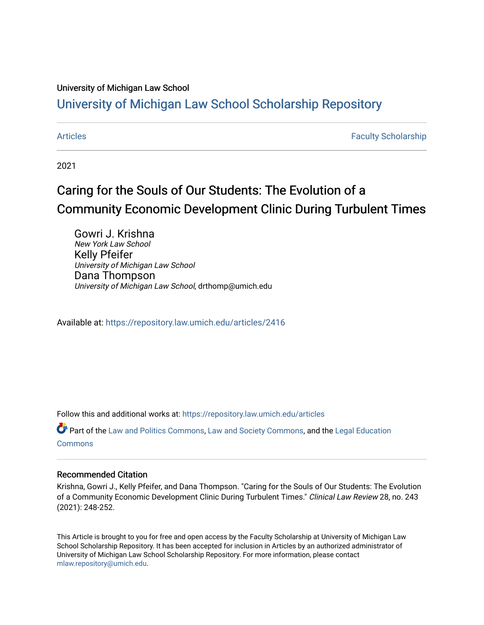# University of Michigan Law School

# [University of Michigan Law School Scholarship Repository](https://repository.law.umich.edu/)

[Articles](https://repository.law.umich.edu/articles) **Faculty Scholarship** Faculty Scholarship

2021

# Caring for the Souls of Our Students: The Evolution of a Community Economic Development Clinic During Turbulent Times

Gowri J. Krishna New York Law School Kelly Pfeifer University of Michigan Law School Dana Thompson University of Michigan Law School, drthomp@umich.edu

Available at: <https://repository.law.umich.edu/articles/2416>

Follow this and additional works at: [https://repository.law.umich.edu/articles](https://repository.law.umich.edu/articles?utm_source=repository.law.umich.edu%2Farticles%2F2416&utm_medium=PDF&utm_campaign=PDFCoverPages) 

Part of the [Law and Politics Commons,](http://network.bepress.com/hgg/discipline/867?utm_source=repository.law.umich.edu%2Farticles%2F2416&utm_medium=PDF&utm_campaign=PDFCoverPages) [Law and Society Commons](http://network.bepress.com/hgg/discipline/853?utm_source=repository.law.umich.edu%2Farticles%2F2416&utm_medium=PDF&utm_campaign=PDFCoverPages), and the [Legal Education](http://network.bepress.com/hgg/discipline/857?utm_source=repository.law.umich.edu%2Farticles%2F2416&utm_medium=PDF&utm_campaign=PDFCoverPages) **[Commons](http://network.bepress.com/hgg/discipline/857?utm_source=repository.law.umich.edu%2Farticles%2F2416&utm_medium=PDF&utm_campaign=PDFCoverPages)** 

# Recommended Citation

Krishna, Gowri J., Kelly Pfeifer, and Dana Thompson. "Caring for the Souls of Our Students: The Evolution of a Community Economic Development Clinic During Turbulent Times." Clinical Law Review 28, no. 243 (2021): 248-252.

This Article is brought to you for free and open access by the Faculty Scholarship at University of Michigan Law School Scholarship Repository. It has been accepted for inclusion in Articles by an authorized administrator of University of Michigan Law School Scholarship Repository. For more information, please contact [mlaw.repository@umich.edu.](mailto:mlaw.repository@umich.edu)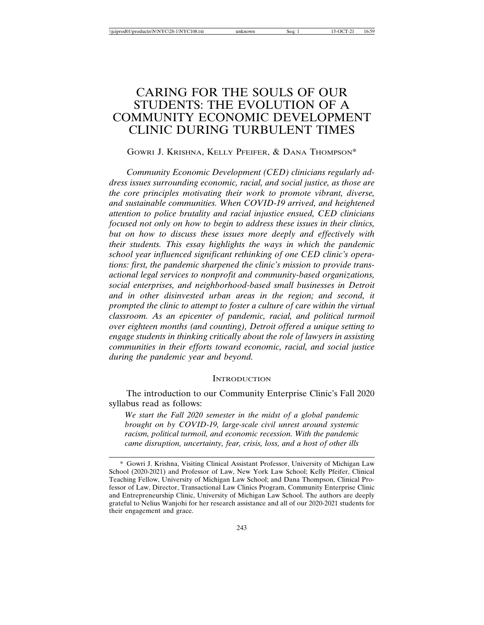# CARING FOR THE SOULS OF OUR STUDENTS: THE EVOLUTION OF A COMMUNITY ECONOMIC DEVELOPMENT CLINIC DURING TURBULENT TIMES

# GOWRI J. KRISHNA, KELLY PFEIFER, & DANA THOMPSON\*

*Community Economic Development (CED) clinicians regularly address issues surrounding economic, racial, and social justice, as those are the core principles motivating their work to promote vibrant, diverse, and sustainable communities. When COVID-19 arrived, and heightened attention to police brutality and racial injustice ensued, CED clinicians focused not only on how to begin to address these issues in their clinics, but on how to discuss these issues more deeply and effectively with their students. This essay highlights the ways in which the pandemic school year influenced significant rethinking of one CED clinic's operations: first, the pandemic sharpened the clinic's mission to provide transactional legal services to nonprofit and community-based organizations, social enterprises, and neighborhood-based small businesses in Detroit and in other disinvested urban areas in the region; and second, it prompted the clinic to attempt to foster a culture of care within the virtual classroom. As an epicenter of pandemic, racial, and political turmoil over eighteen months (and counting), Detroit offered a unique setting to engage students in thinking critically about the role of lawyers in assisting communities in their efforts toward economic, racial, and social justice during the pandemic year and beyond.*

#### **INTRODUCTION**

The introduction to our Community Enterprise Clinic's Fall 2020 syllabus read as follows:

*We start the Fall 2020 semester in the midst of a global pandemic brought on by COVID-19, large-scale civil unrest around systemic racism, political turmoil, and economic recession. With the pandemic came disruption, uncertainty, fear, crisis, loss, and a host of other ills*

<sup>\*</sup> Gowri J. Krishna, Visiting Clinical Assistant Professor, University of Michigan Law School (2020-2021) and Professor of Law, New York Law School; Kelly Pfeifer, Clinical Teaching Fellow, University of Michigan Law School; and Dana Thompson, Clinical Professor of Law, Director, Transactional Law Clinics Program, Community Enterprise Clinic and Entrepreneurship Clinic, University of Michigan Law School. The authors are deeply grateful to Nelius Wanjohi for her research assistance and all of our 2020-2021 students for their engagement and grace.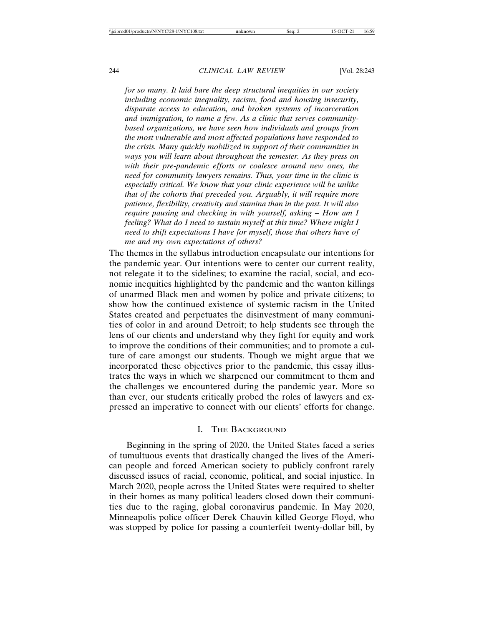*for so many. It laid bare the deep structural inequities in our society including economic inequality, racism, food and housing insecurity, disparate access to education, and broken systems of incarceration and immigration, to name a few. As a clinic that serves communitybased organizations, we have seen how individuals and groups from the most vulnerable and most affected populations have responded to the crisis. Many quickly mobilized in support of their communities in ways you will learn about throughout the semester. As they press on with their pre-pandemic efforts or coalesce around new ones, the need for community lawyers remains. Thus, your time in the clinic is especially critical. We know that your clinic experience will be unlike that of the cohorts that preceded you. Arguably, it will require more patience, flexibility, creativity and stamina than in the past. It will also require pausing and checking in with yourself, asking – How am I feeling? What do I need to sustain myself at this time? Where might I need to shift expectations I have for myself, those that others have of me and my own expectations of others?*

The themes in the syllabus introduction encapsulate our intentions for the pandemic year. Our intentions were to center our current reality, not relegate it to the sidelines; to examine the racial, social, and economic inequities highlighted by the pandemic and the wanton killings of unarmed Black men and women by police and private citizens; to show how the continued existence of systemic racism in the United States created and perpetuates the disinvestment of many communities of color in and around Detroit; to help students see through the lens of our clients and understand why they fight for equity and work to improve the conditions of their communities; and to promote a culture of care amongst our students. Though we might argue that we incorporated these objectives prior to the pandemic, this essay illustrates the ways in which we sharpened our commitment to them and the challenges we encountered during the pandemic year. More so than ever, our students critically probed the roles of lawyers and expressed an imperative to connect with our clients' efforts for change.

# I. THE BACKGROUND

Beginning in the spring of 2020, the United States faced a series of tumultuous events that drastically changed the lives of the American people and forced American society to publicly confront rarely discussed issues of racial, economic, political, and social injustice. In March 2020, people across the United States were required to shelter in their homes as many political leaders closed down their communities due to the raging, global coronavirus pandemic. In May 2020, Minneapolis police officer Derek Chauvin killed George Floyd, who was stopped by police for passing a counterfeit twenty-dollar bill, by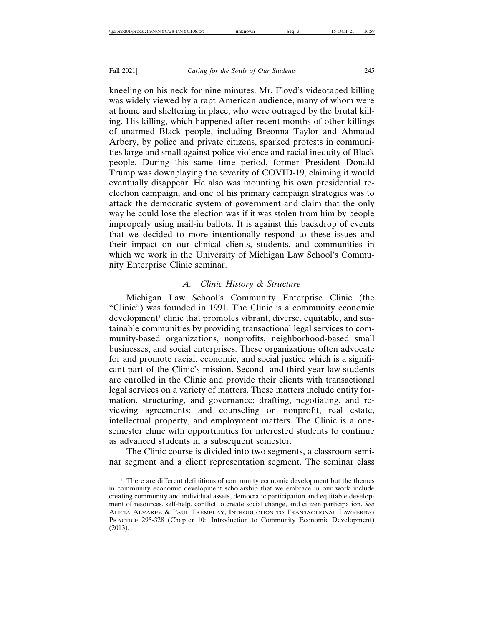kneeling on his neck for nine minutes. Mr. Floyd's videotaped killing was widely viewed by a rapt American audience, many of whom were at home and sheltering in place, who were outraged by the brutal killing. His killing, which happened after recent months of other killings of unarmed Black people, including Breonna Taylor and Ahmaud Arbery, by police and private citizens, sparked protests in communities large and small against police violence and racial inequity of Black people. During this same time period, former President Donald Trump was downplaying the severity of COVID-19, claiming it would eventually disappear. He also was mounting his own presidential reelection campaign, and one of his primary campaign strategies was to attack the democratic system of government and claim that the only way he could lose the election was if it was stolen from him by people improperly using mail-in ballots. It is against this backdrop of events that we decided to more intentionally respond to these issues and their impact on our clinical clients, students, and communities in which we work in the University of Michigan Law School's Community Enterprise Clinic seminar.

### *A. Clinic History & Structure*

Michigan Law School's Community Enterprise Clinic (the "Clinic") was founded in 1991. The Clinic is a community economic development<sup>1</sup> clinic that promotes vibrant, diverse, equitable, and sustainable communities by providing transactional legal services to community-based organizations, nonprofits, neighborhood-based small businesses, and social enterprises. These organizations often advocate for and promote racial, economic, and social justice which is a significant part of the Clinic's mission. Second- and third-year law students are enrolled in the Clinic and provide their clients with transactional legal services on a variety of matters. These matters include entity formation, structuring, and governance; drafting, negotiating, and reviewing agreements; and counseling on nonprofit, real estate, intellectual property, and employment matters. The Clinic is a onesemester clinic with opportunities for interested students to continue as advanced students in a subsequent semester.

The Clinic course is divided into two segments, a classroom seminar segment and a client representation segment. The seminar class

<sup>&</sup>lt;sup>1</sup> There are different definitions of community economic development but the themes in community economic development scholarship that we embrace in our work include creating community and individual assets, democratic participation and equitable development of resources, self-help, conflict to create social change, and citizen participation. *See* ALICIA ALVAREZ & PAUL TREMBLAY, INTRODUCTION TO TRANSACTIONAL LAWYERING PRACTICE 295-328 (Chapter 10: Introduction to Community Economic Development) (2013).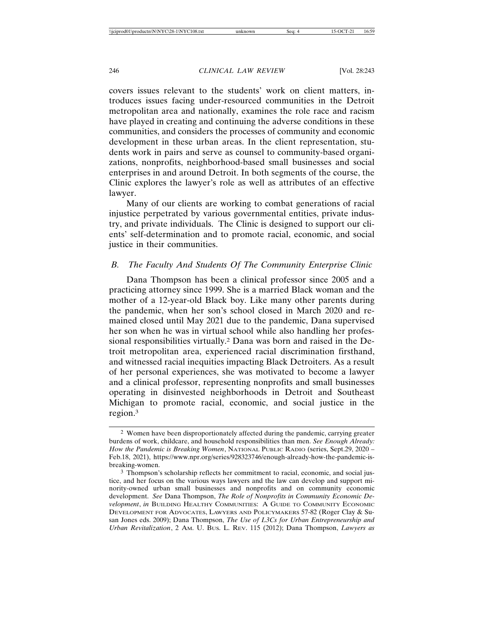covers issues relevant to the students' work on client matters, introduces issues facing under-resourced communities in the Detroit metropolitan area and nationally, examines the role race and racism have played in creating and continuing the adverse conditions in these communities, and considers the processes of community and economic development in these urban areas. In the client representation, students work in pairs and serve as counsel to community-based organizations, nonprofits, neighborhood-based small businesses and social enterprises in and around Detroit. In both segments of the course, the Clinic explores the lawyer's role as well as attributes of an effective lawyer.

Many of our clients are working to combat generations of racial injustice perpetrated by various governmental entities, private industry, and private individuals. The Clinic is designed to support our clients' self-determination and to promote racial, economic, and social justice in their communities.

# *B. The Faculty And Students Of The Community Enterprise Clinic*

Dana Thompson has been a clinical professor since 2005 and a practicing attorney since 1999. She is a married Black woman and the mother of a 12-year-old Black boy. Like many other parents during the pandemic, when her son's school closed in March 2020 and remained closed until May 2021 due to the pandemic, Dana supervised her son when he was in virtual school while also handling her professional responsibilities virtually.2 Dana was born and raised in the Detroit metropolitan area, experienced racial discrimination firsthand, and witnessed racial inequities impacting Black Detroiters. As a result of her personal experiences, she was motivated to become a lawyer and a clinical professor, representing nonprofits and small businesses operating in disinvested neighborhoods in Detroit and Southeast Michigan to promote racial, economic, and social justice in the region.3

<sup>2</sup> Women have been disproportionately affected during the pandemic, carrying greater burdens of work, childcare, and household responsibilities than men. *See Enough Already: How the Pandemic is Breaking Women*, NATIONAL PUBLIC RADIO (series, Sept.29, 2020 – Feb.18, 2021), https://www.npr.org/series/928323746/enough-already-how-the-pandemic-isbreaking-women.

<sup>3</sup> Thompson's scholarship reflects her commitment to racial, economic, and social justice, and her focus on the various ways lawyers and the law can develop and support minority-owned urban small businesses and nonprofits and on community economic development. *See* Dana Thompson, *The Role of Nonprofits in Community Economic Development*, *in* BUILDING HEALTHY COMMUNITIES: A GUIDE TO COMMUNITY ECONOMIC DEVELOPMENT FOR ADVOCATES, LAWYERS AND POLICYMAKERS 57-82 (Roger Clay & Susan Jones eds. 2009); Dana Thompson, *The Use of L3Cs for Urban Entrepreneurship and Urban Revitalization*, 2 AM. U. BUS. L. REV. 115 (2012); Dana Thompson, *Lawyers as*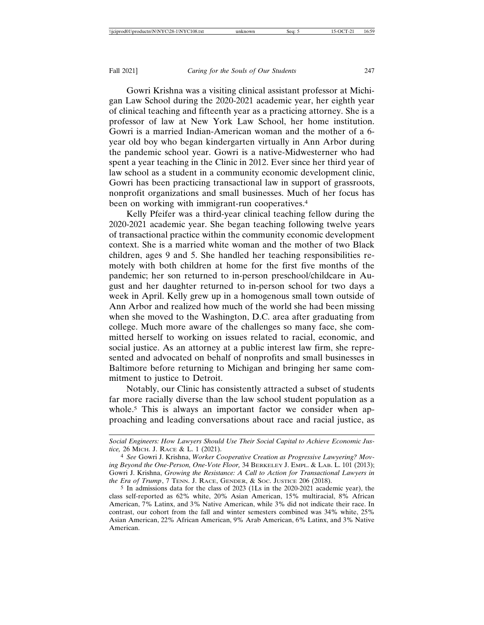Gowri Krishna was a visiting clinical assistant professor at Michigan Law School during the 2020-2021 academic year, her eighth year of clinical teaching and fifteenth year as a practicing attorney. She is a professor of law at New York Law School, her home institution. Gowri is a married Indian-American woman and the mother of a 6 year old boy who began kindergarten virtually in Ann Arbor during the pandemic school year. Gowri is a native-Midwesterner who had spent a year teaching in the Clinic in 2012. Ever since her third year of law school as a student in a community economic development clinic, Gowri has been practicing transactional law in support of grassroots, nonprofit organizations and small businesses. Much of her focus has been on working with immigrant-run cooperatives.<sup>4</sup>

Kelly Pfeifer was a third-year clinical teaching fellow during the 2020-2021 academic year. She began teaching following twelve years of transactional practice within the community economic development context. She is a married white woman and the mother of two Black children, ages 9 and 5. She handled her teaching responsibilities remotely with both children at home for the first five months of the pandemic; her son returned to in-person preschool/childcare in August and her daughter returned to in-person school for two days a week in April. Kelly grew up in a homogenous small town outside of Ann Arbor and realized how much of the world she had been missing when she moved to the Washington, D.C. area after graduating from college. Much more aware of the challenges so many face, she committed herself to working on issues related to racial, economic, and social justice. As an attorney at a public interest law firm, she represented and advocated on behalf of nonprofits and small businesses in Baltimore before returning to Michigan and bringing her same commitment to justice to Detroit.

Notably, our Clinic has consistently attracted a subset of students far more racially diverse than the law school student population as a whole.<sup>5</sup> This is always an important factor we consider when approaching and leading conversations about race and racial justice, as

*Social Engineers: How Lawyers Should Use Their Social Capital to Achieve Economic Justice,* 26 MICH. J. RACE & L. 1 (2021).

<sup>4</sup> *See* Gowri J. Krishna, *Worker Cooperative Creation as Progressive Lawyering? Moving Beyond the One-Person, One-Vote Floor,* 34 BERKELEY J. EMPL. & LAB. L. 101 (2013); Gowri J. Krishna, *Growing the Resistance: A Call to Action for Transactional Lawyers in the Era of Trump*, 7 TENN. J. RACE, GENDER, & SOC. JUSTICE 206 (2018).

<sup>5</sup> In admissions data for the class of 2023 (1Ls in the 2020-2021 academic year), the class self-reported as 62% white, 20% Asian American, 15% multiracial, 8% African American, 7% Latinx, and 3% Native American, while 3% did not indicate their race. In contrast, our cohort from the fall and winter semesters combined was 34% white, 25% Asian American, 22% African American, 9% Arab American, 6% Latinx, and 3% Native American.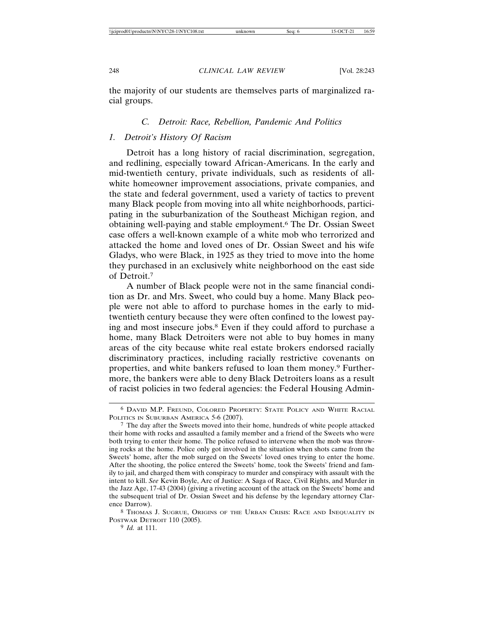the majority of our students are themselves parts of marginalized racial groups.

# *C. Detroit: Race, Rebellion, Pandemic And Politics*

## *1. Detroit's History Of Racism*

Detroit has a long history of racial discrimination, segregation, and redlining, especially toward African-Americans. In the early and mid-twentieth century, private individuals, such as residents of allwhite homeowner improvement associations, private companies, and the state and federal government, used a variety of tactics to prevent many Black people from moving into all white neighborhoods, participating in the suburbanization of the Southeast Michigan region, and obtaining well-paying and stable employment.6 The Dr. Ossian Sweet case offers a well-known example of a white mob who terrorized and attacked the home and loved ones of Dr. Ossian Sweet and his wife Gladys, who were Black, in 1925 as they tried to move into the home they purchased in an exclusively white neighborhood on the east side of Detroit.7

A number of Black people were not in the same financial condition as Dr. and Mrs. Sweet, who could buy a home. Many Black people were not able to afford to purchase homes in the early to midtwentieth century because they were often confined to the lowest paying and most insecure jobs.8 Even if they could afford to purchase a home, many Black Detroiters were not able to buy homes in many areas of the city because white real estate brokers endorsed racially discriminatory practices, including racially restrictive covenants on properties, and white bankers refused to loan them money.9 Furthermore, the bankers were able to deny Black Detroiters loans as a result of racist policies in two federal agencies: the Federal Housing Admin-

<sup>6</sup> DAVID M.P. FREUND, COLORED PROPERTY: STATE POLICY AND WHITE RACIAL POLITICS IN SUBURBAN AMERICA 5-6 (2007).

<sup>7</sup> The day after the Sweets moved into their home, hundreds of white people attacked their home with rocks and assaulted a family member and a friend of the Sweets who were both trying to enter their home. The police refused to intervene when the mob was throwing rocks at the home. Police only got involved in the situation when shots came from the Sweets' home, after the mob surged on the Sweets' loved ones trying to enter the home. After the shooting, the police entered the Sweets' home, took the Sweets' friend and family to jail, and charged them with conspiracy to murder and conspiracy with assault with the intent to kill. *See* Kevin Boyle, Arc of Justice: A Saga of Race, Civil Rights, and Murder in the Jazz Age, 17-43 (2004) (giving a riveting account of the attack on the Sweets' home and the subsequent trial of Dr. Ossian Sweet and his defense by the legendary attorney Clarence Darrow).

<sup>8</sup> THOMAS J. SUGRUE, ORIGINS OF THE URBAN CRISIS: RACE AND INEQUALITY IN POSTWAR DETROIT 110 (2005).

<sup>9</sup> *Id.* at 111.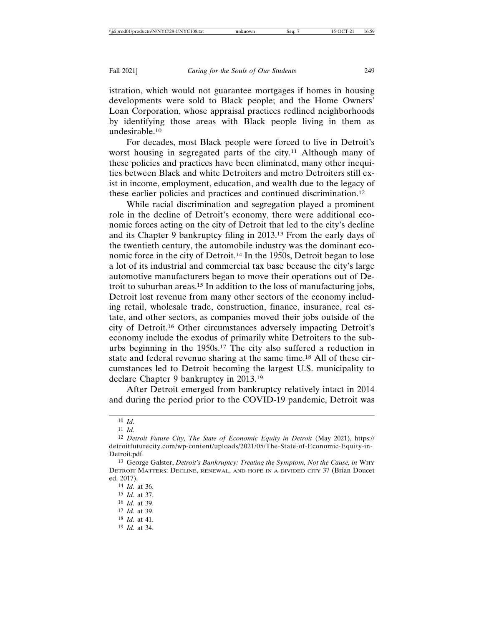istration, which would not guarantee mortgages if homes in housing developments were sold to Black people; and the Home Owners' Loan Corporation, whose appraisal practices redlined neighborhoods by identifying those areas with Black people living in them as undesirable.10

For decades, most Black people were forced to live in Detroit's worst housing in segregated parts of the city.<sup>11</sup> Although many of these policies and practices have been eliminated, many other inequities between Black and white Detroiters and metro Detroiters still exist in income, employment, education, and wealth due to the legacy of these earlier policies and practices and continued discrimination.12

While racial discrimination and segregation played a prominent role in the decline of Detroit's economy, there were additional economic forces acting on the city of Detroit that led to the city's decline and its Chapter 9 bankruptcy filing in 2013.13 From the early days of the twentieth century, the automobile industry was the dominant economic force in the city of Detroit.14 In the 1950s, Detroit began to lose a lot of its industrial and commercial tax base because the city's large automotive manufacturers began to move their operations out of Detroit to suburban areas.15 In addition to the loss of manufacturing jobs, Detroit lost revenue from many other sectors of the economy including retail, wholesale trade, construction, finance, insurance, real estate, and other sectors, as companies moved their jobs outside of the city of Detroit.16 Other circumstances adversely impacting Detroit's economy include the exodus of primarily white Detroiters to the suburbs beginning in the 1950s.17 The city also suffered a reduction in state and federal revenue sharing at the same time.18 All of these circumstances led to Detroit becoming the largest U.S. municipality to declare Chapter 9 bankruptcy in 2013.19

After Detroit emerged from bankruptcy relatively intact in 2014 and during the period prior to the COVID-19 pandemic, Detroit was

<sup>10</sup> *Id.*

<sup>11</sup> *Id.*

<sup>12</sup> *Detroit Future City, The State of Economic Equity in Detroit* (May 2021), https:// detroitfuturecity.com/wp-content/uploads/2021/05/The-State-of-Economic-Equity-in-Detroit.pdf.

<sup>13</sup> George Galster, *Detroit's Bankruptcy: Treating the Symptom, Not the Cause, in* WHY DETROIT MATTERS: DECLINE, RENEWAL, AND HOPE IN A DIVIDED CITY 37 (Brian Doucet ed. 2017).

<sup>14</sup> *Id.* at 36.

<sup>15</sup> *Id.* at 37.

<sup>16</sup> *Id.* at 39.

<sup>17</sup> *Id.* at 39.

<sup>18</sup> *Id.* at 41.

<sup>19</sup> *Id.* at 34.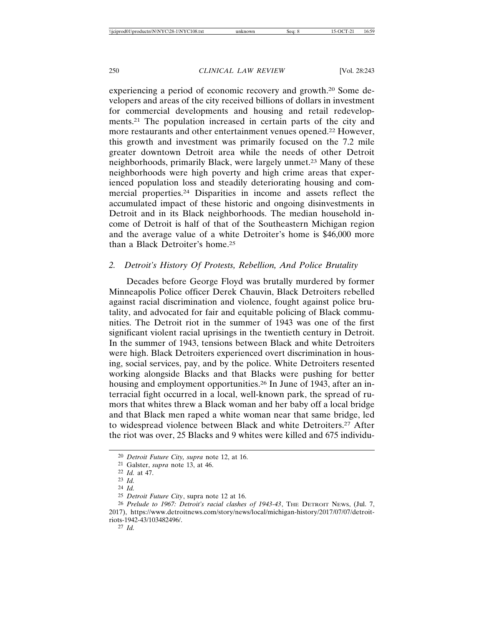experiencing a period of economic recovery and growth.20 Some developers and areas of the city received billions of dollars in investment for commercial developments and housing and retail redevelopments.21 The population increased in certain parts of the city and more restaurants and other entertainment venues opened.22 However, this growth and investment was primarily focused on the 7.2 mile greater downtown Detroit area while the needs of other Detroit neighborhoods, primarily Black, were largely unmet.23 Many of these neighborhoods were high poverty and high crime areas that experienced population loss and steadily deteriorating housing and commercial properties.24 Disparities in income and assets reflect the accumulated impact of these historic and ongoing disinvestments in Detroit and in its Black neighborhoods. The median household income of Detroit is half of that of the Southeastern Michigan region and the average value of a white Detroiter's home is \$46,000 more than a Black Detroiter's home.25

# *2. Detroit's History Of Protests, Rebellion, And Police Brutality*

Decades before George Floyd was brutally murdered by former Minneapolis Police officer Derek Chauvin, Black Detroiters rebelled against racial discrimination and violence, fought against police brutality, and advocated for fair and equitable policing of Black communities. The Detroit riot in the summer of 1943 was one of the first significant violent racial uprisings in the twentieth century in Detroit. In the summer of 1943, tensions between Black and white Detroiters were high. Black Detroiters experienced overt discrimination in housing, social services, pay, and by the police. White Detroiters resented working alongside Blacks and that Blacks were pushing for better housing and employment opportunities.<sup>26</sup> In June of 1943, after an interracial fight occurred in a local, well-known park, the spread of rumors that whites threw a Black woman and her baby off a local bridge and that Black men raped a white woman near that same bridge, led to widespread violence between Black and white Detroiters.27 After the riot was over, 25 Blacks and 9 whites were killed and 675 individu-

27 *Id.*

<sup>20</sup> *Detroit Future City, supra* note 12, at 16.

<sup>21</sup> Galster, *supra* note 13, at 46.

<sup>22</sup> *Id.* at 47.

<sup>23</sup> *Id.*

<sup>24</sup> *Id.*

<sup>25</sup> *Detroit Future City*, supra note 12 at 16.

<sup>26</sup> *Prelude to 1967: Detroit's racial clashes of 1943-43*, THE DETROIT NEWS, (Jul. 7, 2017), https://www.detroitnews.com/story/news/local/michigan-history/2017/07/07/detroitriots-1942-43/103482496/.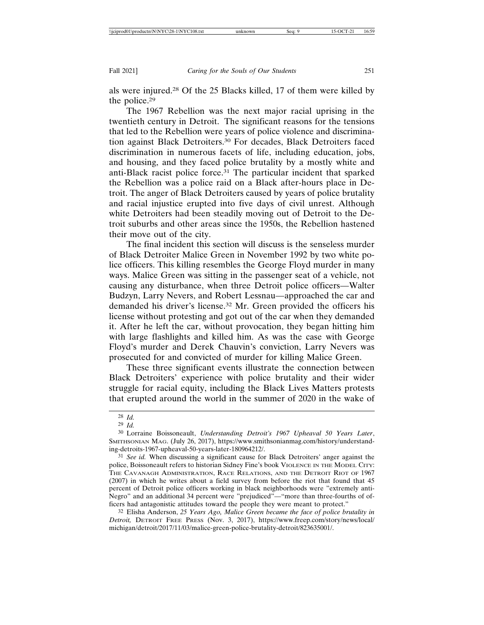als were injured.28 Of the 25 Blacks killed, 17 of them were killed by the police.29

The 1967 Rebellion was the next major racial uprising in the twentieth century in Detroit. The significant reasons for the tensions that led to the Rebellion were years of police violence and discrimination against Black Detroiters.30 For decades, Black Detroiters faced discrimination in numerous facets of life, including education, jobs, and housing, and they faced police brutality by a mostly white and anti-Black racist police force.31 The particular incident that sparked the Rebellion was a police raid on a Black after-hours place in Detroit. The anger of Black Detroiters caused by years of police brutality and racial injustice erupted into five days of civil unrest. Although white Detroiters had been steadily moving out of Detroit to the Detroit suburbs and other areas since the 1950s, the Rebellion hastened their move out of the city.

The final incident this section will discuss is the senseless murder of Black Detroiter Malice Green in November 1992 by two white police officers. This killing resembles the George Floyd murder in many ways. Malice Green was sitting in the passenger seat of a vehicle, not causing any disturbance, when three Detroit police officers—Walter Budzyn, Larry Nevers, and Robert Lessnau—approached the car and demanded his driver's license.32 Mr. Green provided the officers his license without protesting and got out of the car when they demanded it. After he left the car, without provocation, they began hitting him with large flashlights and killed him. As was the case with George Floyd's murder and Derek Chauvin's conviction, Larry Nevers was prosecuted for and convicted of murder for killing Malice Green.

These three significant events illustrate the connection between Black Detroiters' experience with police brutality and their wider struggle for racial equity, including the Black Lives Matters protests that erupted around the world in the summer of 2020 in the wake of

32 Elisha Anderson, *25 Years Ago, Malice Green became the face of police brutality in Detroit,* DETROIT FREE PRESS (Nov. 3, 2017), https://www.freep.com/story/news/local/ michigan/detroit/2017/11/03/malice-green-police-brutality-detroit/823635001/.

<sup>28</sup> *Id.*

<sup>29</sup> *Id.*

<sup>30</sup> Lorraine Boissoneault, *Understanding Detroit's 1967 Upheaval 50 Years Later*, SMITHSONIAN MAG. (July 26, 2017), https://www.smithsonianmag.com/history/understanding-detroits-1967-upheaval-50-years-later-180964212/.

<sup>31</sup> *See id.* When discussing a significant cause for Black Detroiters' anger against the police, Boissoneault refers to historian Sidney Fine's book VIOLENCE IN THE MODEL CITY: THE CAVANAGH ADMINISTRATION, RACE RELATIONS, AND THE DETROIT RIOT OF 1967 (2007) in which he writes about a field survey from before the riot that found that 45 percent of Detroit police officers working in black neighborhoods were "extremely anti-Negro" and an additional 34 percent were "prejudiced"—"more than three-fourths of officers had antagonistic attitudes toward the people they were meant to protect."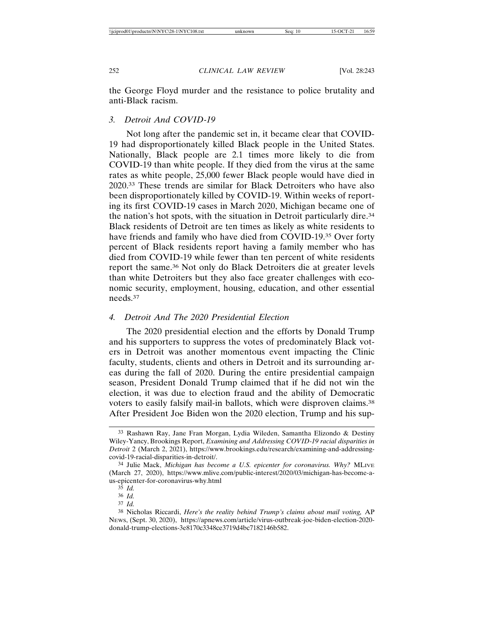the George Floyd murder and the resistance to police brutality and anti-Black racism.

# *3. Detroit And COVID-19*

Not long after the pandemic set in, it became clear that COVID-19 had disproportionately killed Black people in the United States. Nationally, Black people are 2.1 times more likely to die from COVID-19 than white people. If they died from the virus at the same rates as white people, 25,000 fewer Black people would have died in 2020.33 These trends are similar for Black Detroiters who have also been disproportionately killed by COVID-19. Within weeks of reporting its first COVID-19 cases in March 2020, Michigan became one of the nation's hot spots, with the situation in Detroit particularly dire.34 Black residents of Detroit are ten times as likely as white residents to have friends and family who have died from COVID-19.<sup>35</sup> Over forty percent of Black residents report having a family member who has died from COVID-19 while fewer than ten percent of white residents report the same.36 Not only do Black Detroiters die at greater levels than white Detroiters but they also face greater challenges with economic security, employment, housing, education, and other essential needs.37

# *4. Detroit And The 2020 Presidential Election*

The 2020 presidential election and the efforts by Donald Trump and his supporters to suppress the votes of predominately Black voters in Detroit was another momentous event impacting the Clinic faculty, students, clients and others in Detroit and its surrounding areas during the fall of 2020. During the entire presidential campaign season, President Donald Trump claimed that if he did not win the election, it was due to election fraud and the ability of Democratic voters to easily falsify mail-in ballots, which were disproven claims.38 After President Joe Biden won the 2020 election, Trump and his sup-

<sup>33</sup> Rashawn Ray, Jane Fran Morgan, Lydia Wileden, Samantha Elizondo & Destiny Wiley-Yancy, Brookings Report, *Examining and Addressing COVID-19 racial disparities in Detroit* 2 (March 2, 2021), https://www.brookings.edu/research/examining-and-addressingcovid-19-racial-disparities-in-detroit/.

<sup>34</sup> Julie Mack, *Michigan has become a U.S. epicenter for coronavirus. Why?* MLIVE (March 27, 2020), https://www.mlive.com/public-interest/2020/03/michigan-has-become-aus-epicenter-for-coronavirus-why.html

<sup>35</sup> *Id.*

<sup>36</sup> *Id.*

<sup>37</sup> *Id.*

<sup>38</sup> Nicholas Riccardi, *Here's the reality behind Trump's claims about mail voting,* AP NEWS, (Sept. 30, 2020), https://apnews.com/article/virus-outbreak-joe-biden-election-2020 donald-trump-elections-3e8170c3348ce3719d4bc7182146b582.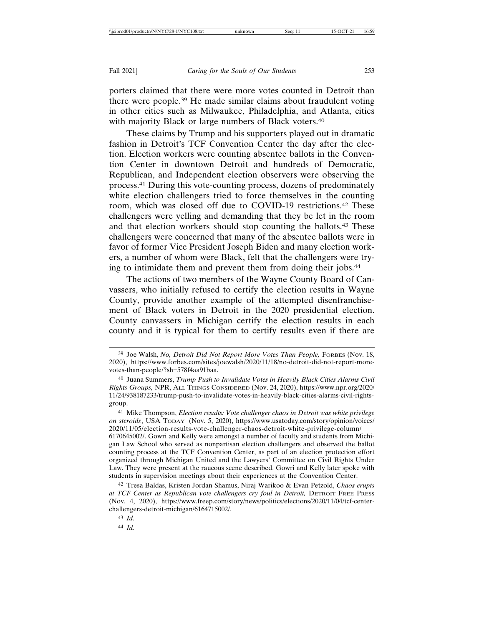porters claimed that there were more votes counted in Detroit than there were people.39 He made similar claims about fraudulent voting in other cities such as Milwaukee, Philadelphia, and Atlanta, cities with majority Black or large numbers of Black voters.<sup>40</sup>

These claims by Trump and his supporters played out in dramatic fashion in Detroit's TCF Convention Center the day after the election. Election workers were counting absentee ballots in the Convention Center in downtown Detroit and hundreds of Democratic, Republican, and Independent election observers were observing the process.41 During this vote-counting process, dozens of predominately white election challengers tried to force themselves in the counting room, which was closed off due to COVID-19 restrictions.42 These challengers were yelling and demanding that they be let in the room and that election workers should stop counting the ballots.43 These challengers were concerned that many of the absentee ballots were in favor of former Vice President Joseph Biden and many election workers, a number of whom were Black, felt that the challengers were trying to intimidate them and prevent them from doing their jobs.<sup>44</sup>

The actions of two members of the Wayne County Board of Canvassers, who initially refused to certify the election results in Wayne County, provide another example of the attempted disenfranchisement of Black voters in Detroit in the 2020 presidential election. County canvassers in Michigan certify the election results in each county and it is typical for them to certify results even if there are

<sup>39</sup> Joe Walsh, *No, Detroit Did Not Report More Votes Than People,* FORBES (Nov. 18, 2020), https://www.forbes.com/sites/joewalsh/2020/11/18/no-detroit-did-not-report-morevotes-than-people/?sh=578f4aa91baa.

<sup>40</sup> Juana Summers, *Trump Push to Invalidate Votes in Heavily Black Cities Alarms Civil Rights Groups,* NPR, ALL THINGS CONSIDERED (Nov. 24, 2020), https://www.npr.org/2020/ 11/24/938187233/trump-push-to-invalidate-votes-in-heavily-black-cities-alarms-civil-rightsgroup.

<sup>41</sup> Mike Thompson, *Election results: Vote challenger chaos in Detroit was white privilege on steroids*, USA TODAY (Nov. 5, 2020), https://www.usatoday.com/story/opinion/voices/ 2020/11/05/election-results-vote-challenger-chaos-detroit-white-privilege-column/ 6170645002/. Gowri and Kelly were amongst a number of faculty and students from Michigan Law School who served as nonpartisan election challengers and observed the ballot counting process at the TCF Convention Center, as part of an election protection effort organized through Michigan United and the Lawyers' Committee on Civil Rights Under Law. They were present at the raucous scene described. Gowri and Kelly later spoke with students in supervision meetings about their experiences at the Convention Center.

<sup>42</sup> Tresa Baldas, Kristen Jordan Shamus, Niraj Warikoo & Evan Petzold, *Chaos erupts at TCF Center as Republican vote challengers cry foul in Detroit,* DETROIT FREE PRESS (Nov. 4, 2020), https://www.freep.com/story/news/politics/elections/2020/11/04/tcf-centerchallengers-detroit-michigan/6164715002/.

<sup>43</sup> *Id.*

<sup>44</sup> *Id.*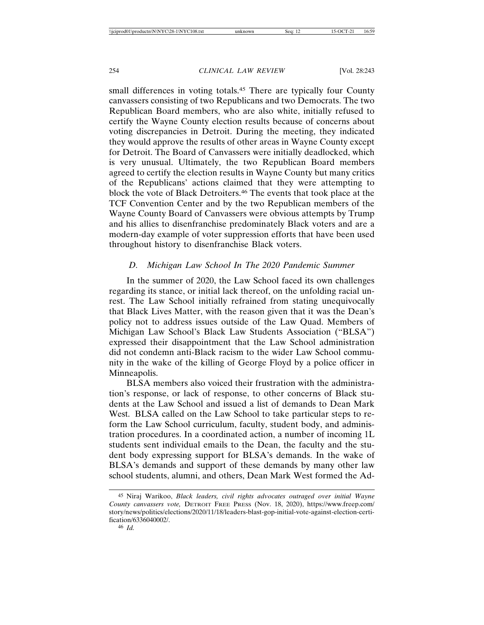small differences in voting totals.<sup>45</sup> There are typically four County canvassers consisting of two Republicans and two Democrats. The two Republican Board members, who are also white, initially refused to certify the Wayne County election results because of concerns about voting discrepancies in Detroit. During the meeting, they indicated they would approve the results of other areas in Wayne County except for Detroit. The Board of Canvassers were initially deadlocked, which is very unusual. Ultimately, the two Republican Board members agreed to certify the election results in Wayne County but many critics of the Republicans' actions claimed that they were attempting to block the vote of Black Detroiters.46 The events that took place at the TCF Convention Center and by the two Republican members of the Wayne County Board of Canvassers were obvious attempts by Trump and his allies to disenfranchise predominately Black voters and are a modern-day example of voter suppression efforts that have been used throughout history to disenfranchise Black voters.

# *D. Michigan Law School In The 2020 Pandemic Summer*

In the summer of 2020, the Law School faced its own challenges regarding its stance, or initial lack thereof, on the unfolding racial unrest. The Law School initially refrained from stating unequivocally that Black Lives Matter, with the reason given that it was the Dean's policy not to address issues outside of the Law Quad. Members of Michigan Law School's Black Law Students Association ("BLSA") expressed their disappointment that the Law School administration did not condemn anti-Black racism to the wider Law School community in the wake of the killing of George Floyd by a police officer in Minneapolis.

BLSA members also voiced their frustration with the administration's response, or lack of response, to other concerns of Black students at the Law School and issued a list of demands to Dean Mark West. BLSA called on the Law School to take particular steps to reform the Law School curriculum, faculty, student body, and administration procedures. In a coordinated action, a number of incoming 1L students sent individual emails to the Dean, the faculty and the student body expressing support for BLSA's demands. In the wake of BLSA's demands and support of these demands by many other law school students, alumni, and others, Dean Mark West formed the Ad-

46 *Id.*

<sup>45</sup> Niraj Warikoo, *Black leaders, civil rights advocates outraged over initial Wayne County canvassers vote,* DETROIT FREE PRESS (Nov. 18, 2020), https://www.freep.com/ story/news/politics/elections/2020/11/18/leaders-blast-gop-initial-vote-against-election-certification/6336040002/.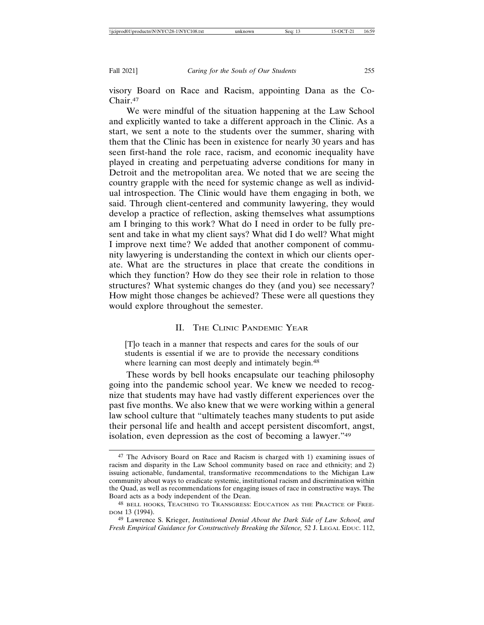visory Board on Race and Racism, appointing Dana as the Co-Chair.47

We were mindful of the situation happening at the Law School and explicitly wanted to take a different approach in the Clinic. As a start, we sent a note to the students over the summer, sharing with them that the Clinic has been in existence for nearly 30 years and has seen first-hand the role race, racism, and economic inequality have played in creating and perpetuating adverse conditions for many in Detroit and the metropolitan area. We noted that we are seeing the country grapple with the need for systemic change as well as individual introspection. The Clinic would have them engaging in both, we said. Through client-centered and community lawyering, they would develop a practice of reflection, asking themselves what assumptions am I bringing to this work? What do I need in order to be fully present and take in what my client says? What did I do well? What might I improve next time? We added that another component of community lawyering is understanding the context in which our clients operate. What are the structures in place that create the conditions in which they function? How do they see their role in relation to those structures? What systemic changes do they (and you) see necessary? How might those changes be achieved? These were all questions they would explore throughout the semester.

# II. THE CLINIC PANDEMIC YEAR

[T]o teach in a manner that respects and cares for the souls of our students is essential if we are to provide the necessary conditions where learning can most deeply and intimately begin.<sup>48</sup>

These words by bell hooks encapsulate our teaching philosophy going into the pandemic school year. We knew we needed to recognize that students may have had vastly different experiences over the past five months. We also knew that we were working within a general law school culture that "ultimately teaches many students to put aside their personal life and health and accept persistent discomfort, angst, isolation, even depression as the cost of becoming a lawyer."49

<sup>47</sup> The Advisory Board on Race and Racism is charged with 1) examining issues of racism and disparity in the Law School community based on race and ethnicity; and 2) issuing actionable, fundamental, transformative recommendations to the Michigan Law community about ways to eradicate systemic, institutional racism and discrimination within the Quad, as well as recommendations for engaging issues of race in constructive ways. The Board acts as a body independent of the Dean.

<sup>48</sup> BELL HOOKS, TEACHING TO TRANSGRESS: EDUCATION AS THE PRACTICE OF FREE-DOM 13 (1994).

<sup>49</sup> Lawrence S. Krieger, *Institutional Denial About the Dark Side of Law School, and Fresh Empirical Guidance for Constructively Breaking the Silence,* 52 J. LEGAL EDUC. 112,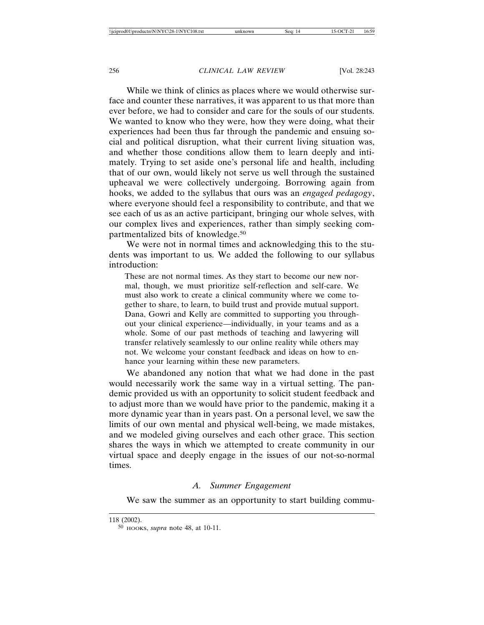While we think of clinics as places where we would otherwise surface and counter these narratives, it was apparent to us that more than ever before, we had to consider and care for the souls of our students. We wanted to know who they were, how they were doing, what their experiences had been thus far through the pandemic and ensuing social and political disruption, what their current living situation was, and whether those conditions allow them to learn deeply and intimately. Trying to set aside one's personal life and health, including that of our own, would likely not serve us well through the sustained upheaval we were collectively undergoing. Borrowing again from hooks, we added to the syllabus that ours was an *engaged pedagogy*, where everyone should feel a responsibility to contribute, and that we see each of us as an active participant, bringing our whole selves, with our complex lives and experiences, rather than simply seeking compartmentalized bits of knowledge.<sup>50</sup>

We were not in normal times and acknowledging this to the students was important to us. We added the following to our syllabus introduction:

These are not normal times. As they start to become our new normal, though, we must prioritize self-reflection and self-care. We must also work to create a clinical community where we come together to share, to learn, to build trust and provide mutual support. Dana, Gowri and Kelly are committed to supporting you throughout your clinical experience—individually, in your teams and as a whole. Some of our past methods of teaching and lawyering will transfer relatively seamlessly to our online reality while others may not. We welcome your constant feedback and ideas on how to enhance your learning within these new parameters.

We abandoned any notion that what we had done in the past would necessarily work the same way in a virtual setting. The pandemic provided us with an opportunity to solicit student feedback and to adjust more than we would have prior to the pandemic, making it a more dynamic year than in years past. On a personal level, we saw the limits of our own mental and physical well-being, we made mistakes, and we modeled giving ourselves and each other grace. This section shares the ways in which we attempted to create community in our virtual space and deeply engage in the issues of our not-so-normal times.

# *A. Summer Engagement*

We saw the summer as an opportunity to start building commu-

<sup>118 (2002).</sup>

<sup>50</sup> HOOKS, *supra* note 48, at 10-11.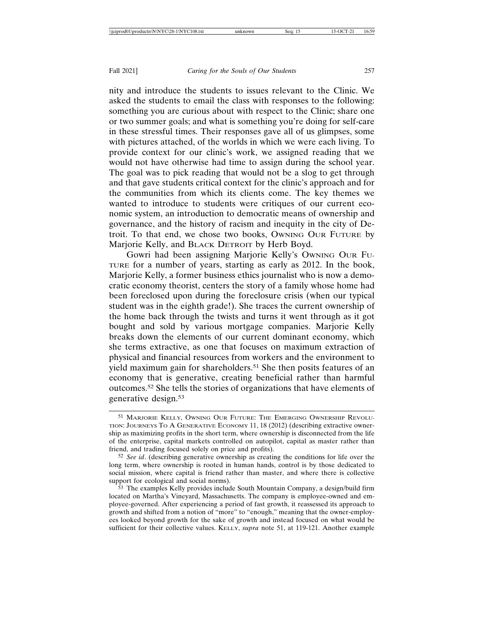nity and introduce the students to issues relevant to the Clinic. We asked the students to email the class with responses to the following: something you are curious about with respect to the Clinic; share one or two summer goals; and what is something you're doing for self-care in these stressful times. Their responses gave all of us glimpses, some with pictures attached, of the worlds in which we were each living. To provide context for our clinic's work, we assigned reading that we would not have otherwise had time to assign during the school year. The goal was to pick reading that would not be a slog to get through and that gave students critical context for the clinic's approach and for the communities from which its clients come. The key themes we wanted to introduce to students were critiques of our current economic system, an introduction to democratic means of ownership and governance, and the history of racism and inequity in the city of Detroit. To that end, we chose two books, OWNING OUR FUTURE by Marjorie Kelly, and BLACK DETROIT by Herb Boyd.

Gowri had been assigning Marjorie Kelly's OWNING OUR FU-TURE for a number of years, starting as early as 2012. In the book, Marjorie Kelly, a former business ethics journalist who is now a democratic economy theorist, centers the story of a family whose home had been foreclosed upon during the foreclosure crisis (when our typical student was in the eighth grade!). She traces the current ownership of the home back through the twists and turns it went through as it got bought and sold by various mortgage companies. Marjorie Kelly breaks down the elements of our current dominant economy, which she terms extractive, as one that focuses on maximum extraction of physical and financial resources from workers and the environment to yield maximum gain for shareholders.<sup>51</sup> She then posits features of an economy that is generative, creating beneficial rather than harmful outcomes.52 She tells the stories of organizations that have elements of generative design.53

<sup>51</sup> MARJORIE KELLY, OWNING OUR FUTURE: THE EMERGING OWNERSHIP REVOLU-TION: JOURNEYS TO A GENERATIVE ECONOMY 11, 18 (2012) (describing extractive ownership as maximizing profits in the short term, where ownership is disconnected from the life of the enterprise, capital markets controlled on autopilot, capital as master rather than friend, and trading focused solely on price and profits).

<sup>52</sup> *See id*. (describing generative ownership as creating the conditions for life over the long term, where ownership is rooted in human hands, control is by those dedicated to social mission, where capital is friend rather than master, and where there is collective support for ecological and social norms).

<sup>53</sup> The examples Kelly provides include South Mountain Company, a design/build firm located on Martha's Vineyard, Massachusetts. The company is employee-owned and employee-governed. After experiencing a period of fast growth, it reassessed its approach to growth and shifted from a notion of "more" to "enough," meaning that the owner-employees looked beyond growth for the sake of growth and instead focused on what would be sufficient for their collective values. KELLY, *supra* note 51, at 119-121. Another example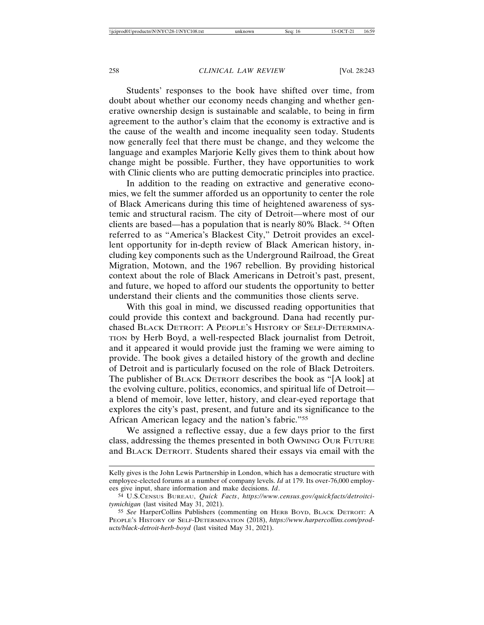Students' responses to the book have shifted over time, from doubt about whether our economy needs changing and whether generative ownership design is sustainable and scalable, to being in firm agreement to the author's claim that the economy is extractive and is the cause of the wealth and income inequality seen today. Students now generally feel that there must be change, and they welcome the language and examples Marjorie Kelly gives them to think about how change might be possible. Further, they have opportunities to work with Clinic clients who are putting democratic principles into practice.

In addition to the reading on extractive and generative economies, we felt the summer afforded us an opportunity to center the role of Black Americans during this time of heightened awareness of systemic and structural racism. The city of Detroit—where most of our clients are based—has a population that is nearly 80% Black. 54 Often referred to as "America's Blackest City," Detroit provides an excellent opportunity for in-depth review of Black American history, including key components such as the Underground Railroad, the Great Migration, Motown, and the 1967 rebellion. By providing historical context about the role of Black Americans in Detroit's past, present, and future, we hoped to afford our students the opportunity to better understand their clients and the communities those clients serve.

With this goal in mind, we discussed reading opportunities that could provide this context and background. Dana had recently purchased BLACK DETROIT: A PEOPLE'S HISTORY OF SELF-DETERMINA-TION by Herb Boyd, a well-respected Black journalist from Detroit, and it appeared it would provide just the framing we were aiming to provide. The book gives a detailed history of the growth and decline of Detroit and is particularly focused on the role of Black Detroiters. The publisher of BLACK DETROIT describes the book as "[A look] at the evolving culture, politics, economics, and spiritual life of Detroit a blend of memoir, love letter, history, and clear-eyed reportage that explores the city's past, present, and future and its significance to the African American legacy and the nation's fabric."55

We assigned a reflective essay, due a few days prior to the first class, addressing the themes presented in both OWNING OUR FUTURE and BLACK DETROIT. Students shared their essays via email with the

Kelly gives is the John Lewis Partnership in London, which has a democratic structure with employee-elected forums at a number of company levels. *Id* at 179. Its over-76,000 employees give input, share information and make decisions. *Id*.

<sup>54</sup> U.S.CENSUS BUREAU, *Quick Facts*, *https://www.census.gov/quickfacts/detroitcitymichigan* (last visited May 31, 2021).

<sup>55</sup> *See* HarperCollins Publishers (commenting on HERB BOYD, BLACK DETROIT: A PEOPLE'S HISTORY OF SELF-DETERMINATION (2018), *https://www.harpercollins.com/products/black-detroit-herb-boyd* (last visited May 31, 2021).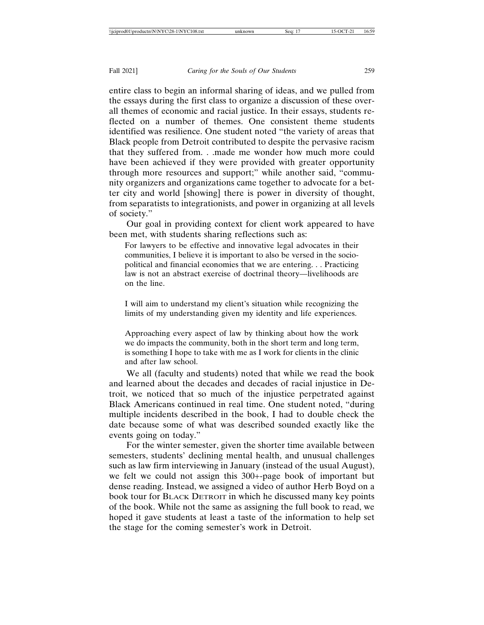entire class to begin an informal sharing of ideas, and we pulled from the essays during the first class to organize a discussion of these overall themes of economic and racial justice. In their essays, students reflected on a number of themes. One consistent theme students identified was resilience. One student noted "the variety of areas that Black people from Detroit contributed to despite the pervasive racism that they suffered from. . .made me wonder how much more could have been achieved if they were provided with greater opportunity through more resources and support;" while another said, "community organizers and organizations came together to advocate for a better city and world [showing] there is power in diversity of thought, from separatists to integrationists, and power in organizing at all levels of society."

Our goal in providing context for client work appeared to have been met, with students sharing reflections such as:

For lawyers to be effective and innovative legal advocates in their communities, I believe it is important to also be versed in the sociopolitical and financial economies that we are entering. . . Practicing law is not an abstract exercise of doctrinal theory—livelihoods are on the line.

I will aim to understand my client's situation while recognizing the limits of my understanding given my identity and life experiences.

Approaching every aspect of law by thinking about how the work we do impacts the community, both in the short term and long term, is something I hope to take with me as I work for clients in the clinic and after law school.

We all (faculty and students) noted that while we read the book and learned about the decades and decades of racial injustice in Detroit, we noticed that so much of the injustice perpetrated against Black Americans continued in real time. One student noted, "during multiple incidents described in the book, I had to double check the date because some of what was described sounded exactly like the events going on today."

For the winter semester, given the shorter time available between semesters, students' declining mental health, and unusual challenges such as law firm interviewing in January (instead of the usual August), we felt we could not assign this 300+-page book of important but dense reading. Instead, we assigned a video of author Herb Boyd on a book tour for BLACK DETROIT in which he discussed many key points of the book. While not the same as assigning the full book to read, we hoped it gave students at least a taste of the information to help set the stage for the coming semester's work in Detroit.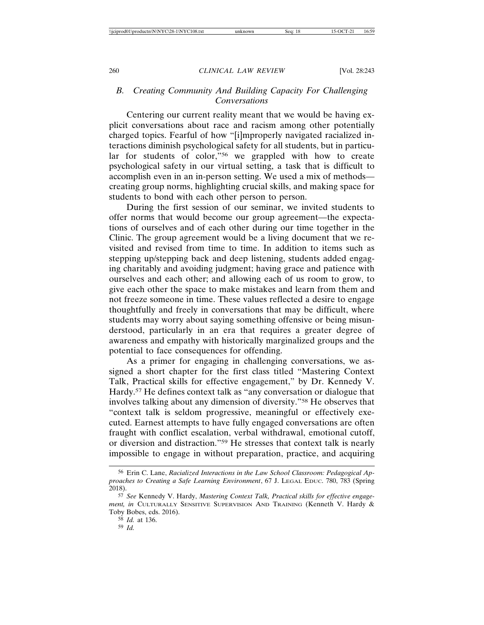# *B. Creating Community And Building Capacity For Challenging Conversations*

Centering our current reality meant that we would be having explicit conversations about race and racism among other potentially charged topics. Fearful of how "[i]mproperly navigated racialized interactions diminish psychological safety for all students, but in particular for students of color,"56 we grappled with how to create psychological safety in our virtual setting, a task that is difficult to accomplish even in an in-person setting. We used a mix of methods creating group norms, highlighting crucial skills, and making space for students to bond with each other person to person.

During the first session of our seminar, we invited students to offer norms that would become our group agreement—the expectations of ourselves and of each other during our time together in the Clinic. The group agreement would be a living document that we revisited and revised from time to time. In addition to items such as stepping up/stepping back and deep listening, students added engaging charitably and avoiding judgment; having grace and patience with ourselves and each other; and allowing each of us room to grow, to give each other the space to make mistakes and learn from them and not freeze someone in time. These values reflected a desire to engage thoughtfully and freely in conversations that may be difficult, where students may worry about saying something offensive or being misunderstood, particularly in an era that requires a greater degree of awareness and empathy with historically marginalized groups and the potential to face consequences for offending.

As a primer for engaging in challenging conversations, we assigned a short chapter for the first class titled "Mastering Context Talk, Practical skills for effective engagement," by Dr. Kennedy V. Hardy.57 He defines context talk as "any conversation or dialogue that involves talking about any dimension of diversity."58 He observes that "context talk is seldom progressive, meaningful or effectively executed. Earnest attempts to have fully engaged conversations are often fraught with conflict escalation, verbal withdrawal, emotional cutoff, or diversion and distraction."59 He stresses that context talk is nearly impossible to engage in without preparation, practice, and acquiring

<sup>56</sup> Erin C. Lane, *Racialized Interactions in the Law School Classroom: Pedagogical Approaches to Creating a Safe Learning Environment*, 67 J. LEGAL EDUC. 780, 783 (Spring 2018).

<sup>57</sup> *See* Kennedy V. Hardy, *Mastering Context Talk, Practical skills for effective engagement, in* CULTURALLY SENSITIVE SUPERVISION AND TRAINING (Kenneth V. Hardy & Toby Bobes, eds. 2016).

<sup>58</sup> *Id.* at 136.

<sup>59</sup> *Id.*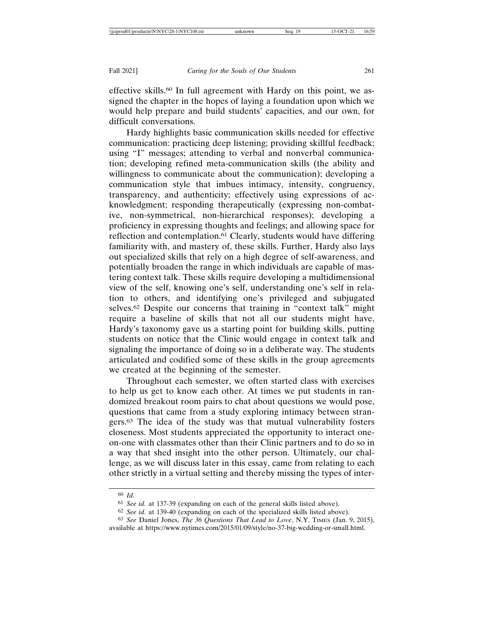effective skills.<sup>60</sup> In full agreement with Hardy on this point, we assigned the chapter in the hopes of laying a foundation upon which we would help prepare and build students' capacities, and our own, for difficult conversations.

Hardy highlights basic communication skills needed for effective communication: practicing deep listening; providing skillful feedback; using "I" messages; attending to verbal and nonverbal communication; developing refined meta-communication skills (the ability and willingness to communicate about the communication); developing a communication style that imbues intimacy, intensity, congruency, transparency, and authenticity; effectively using expressions of acknowledgment; responding therapeutically (expressing non-combative, non-symmetrical, non-hierarchical responses); developing a proficiency in expressing thoughts and feelings; and allowing space for reflection and contemplation.<sup>61</sup> Clearly, students would have differing familiarity with, and mastery of, these skills. Further, Hardy also lays out specialized skills that rely on a high degree of self-awareness, and potentially broaden the range in which individuals are capable of mastering context talk. These skills require developing a multidimensional view of the self, knowing one's self, understanding one's self in relation to others, and identifying one's privileged and subjugated selves.62 Despite our concerns that training in "context talk" might require a baseline of skills that not all our students might have, Hardy's taxonomy gave us a starting point for building skills, putting students on notice that the Clinic would engage in context talk and signaling the importance of doing so in a deliberate way. The students articulated and codified some of these skills in the group agreements we created at the beginning of the semester.

Throughout each semester, we often started class with exercises to help us get to know each other. At times we put students in randomized breakout room pairs to chat about questions we would pose, questions that came from a study exploring intimacy between strangers.63 The idea of the study was that mutual vulnerability fosters closeness. Most students appreciated the opportunity to interact oneon-one with classmates other than their Clinic partners and to do so in a way that shed insight into the other person. Ultimately, our challenge, as we will discuss later in this essay, came from relating to each other strictly in a virtual setting and thereby missing the types of inter-

<sup>60</sup> *Id.*

<sup>61</sup> *See id.* at 137-39 (expanding on each of the general skills listed above).

<sup>62</sup> *See id.* at 139-40 (expanding on each of the specialized skills listed above).

<sup>63</sup> *See* Daniel Jones, *The 36 Questions That Lead to Love*, N.Y. TIMES (Jan. 9, 2015), available at https://www.nytimes.com/2015/01/09/style/no-37-big-wedding-or-small.html.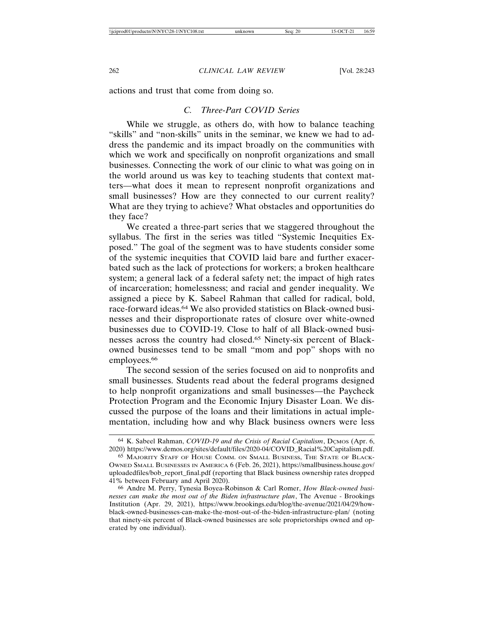actions and trust that come from doing so.

# *C. Three-Part COVID Series*

While we struggle, as others do, with how to balance teaching "skills" and "non-skills" units in the seminar, we knew we had to address the pandemic and its impact broadly on the communities with which we work and specifically on nonprofit organizations and small businesses. Connecting the work of our clinic to what was going on in the world around us was key to teaching students that context matters—what does it mean to represent nonprofit organizations and small businesses? How are they connected to our current reality? What are they trying to achieve? What obstacles and opportunities do they face?

We created a three-part series that we staggered throughout the syllabus. The first in the series was titled "Systemic Inequities Exposed." The goal of the segment was to have students consider some of the systemic inequities that COVID laid bare and further exacerbated such as the lack of protections for workers; a broken healthcare system; a general lack of a federal safety net; the impact of high rates of incarceration; homelessness; and racial and gender inequality. We assigned a piece by K. Sabeel Rahman that called for radical, bold, race-forward ideas.64 We also provided statistics on Black-owned businesses and their disproportionate rates of closure over white-owned businesses due to COVID-19. Close to half of all Black-owned businesses across the country had closed.65 Ninety-six percent of Blackowned businesses tend to be small "mom and pop" shops with no employees.<sup>66</sup>

The second session of the series focused on aid to nonprofits and small businesses. Students read about the federal programs designed to help nonprofit organizations and small businesses—the Paycheck Protection Program and the Economic Injury Disaster Loan. We discussed the purpose of the loans and their limitations in actual implementation, including how and why Black business owners were less

<sup>&</sup>lt;sup>64</sup> K. Sabeel Rahman, *COVID-19 and the Crisis of Racial Capitalism*, D<sub>CMOS</sub> (Apr. 6, 2020) https://www.demos.org/sites/default/files/2020-04/COVID\_Racial%20Capitalism.pdf.

<sup>65</sup> MAJORITY STAFF OF HOUSE COMM. ON SMALL BUSINESS, THE STATE OF BLACK-OWNED SMALL BUSINESSES IN AMERICA 6 (Feb. 26, 2021), https://smallbusiness.house.gov/ uploadedfiles/bob\_report\_final.pdf (reporting that Black business ownership rates dropped 41% between February and April 2020).

<sup>66</sup> Andre M. Perry, Tynesia Boyea-Robinson & Carl Romer, *How Black-owned businesses can make the most out of the Biden infrastructure plan*, The Avenue - Brookings Institution (Apr. 29, 2021), https://www.brookings.edu/blog/the-avenue/2021/04/29/howblack-owned-businesses-can-make-the-most-out-of-the-biden-infrastructure-plan/ (noting that ninety-six percent of Black-owned businesses are sole proprietorships owned and operated by one individual).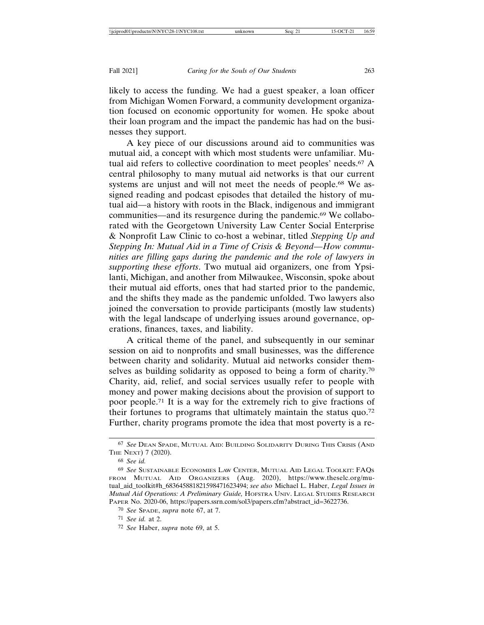likely to access the funding. We had a guest speaker, a loan officer from Michigan Women Forward, a community development organization focused on economic opportunity for women. He spoke about their loan program and the impact the pandemic has had on the businesses they support.

A key piece of our discussions around aid to communities was mutual aid, a concept with which most students were unfamiliar. Mutual aid refers to collective coordination to meet peoples' needs.<sup>67</sup> A central philosophy to many mutual aid networks is that our current systems are unjust and will not meet the needs of people.<sup>68</sup> We assigned reading and podcast episodes that detailed the history of mutual aid—a history with roots in the Black, indigenous and immigrant communities—and its resurgence during the pandemic.69 We collaborated with the Georgetown University Law Center Social Enterprise & Nonprofit Law Clinic to co-host a webinar, titled *Stepping Up and Stepping In: Mutual Aid in a Time of Crisis & Beyond—How communities are filling gaps during the pandemic and the role of lawyers in supporting these efforts*. Two mutual aid organizers, one from Ypsilanti, Michigan, and another from Milwaukee, Wisconsin, spoke about their mutual aid efforts, ones that had started prior to the pandemic, and the shifts they made as the pandemic unfolded. Two lawyers also joined the conversation to provide participants (mostly law students) with the legal landscape of underlying issues around governance, operations, finances, taxes, and liability.

A critical theme of the panel, and subsequently in our seminar session on aid to nonprofits and small businesses, was the difference between charity and solidarity. Mutual aid networks consider themselves as building solidarity as opposed to being a form of charity.70 Charity, aid, relief, and social services usually refer to people with money and power making decisions about the provision of support to poor people.71 It is a way for the extremely rich to give fractions of their fortunes to programs that ultimately maintain the status quo.72 Further, charity programs promote the idea that most poverty is a re-

<sup>67</sup> *See* DEAN SPADE, MUTUAL AID: BUILDING SOLIDARITY DURING THIS CRISIS (AND THE NEXT) 7 (2020).

<sup>68</sup> *See id.*

<sup>69</sup> *See* SUSTAINABLE ECONOMIES LAW CENTER, MUTUAL AID LEGAL TOOLKIT: FAQS FROM MUTUAL AID ORGANIZERS (Aug. 2020), https://www.theselc.org/mutual\_aid\_toolkit#h\_683645881821598471623494; *see also* Michael L. Haber, *Legal Issues in Mutual Aid Operations: A Preliminary Guide,* HOFSTRA UNIV. LEGAL STUDIES RESEARCH PAPER No. 2020-06, https://papers.ssrn.com/sol3/papers.cfm?abstract\_id=3622736.

<sup>70</sup> *See* SPADE, *supra* note 67, at 7.

<sup>71</sup> *See id.* at 2.

<sup>72</sup> *See* Haber, *supra* note 69, at 5.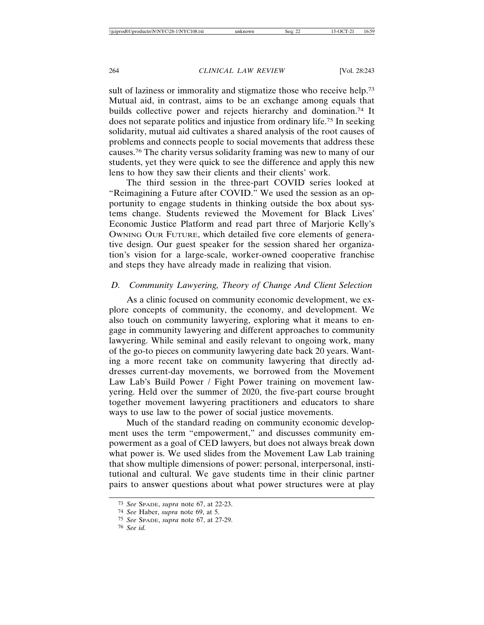sult of laziness or immorality and stigmatize those who receive help.<sup>73</sup> Mutual aid, in contrast, aims to be an exchange among equals that builds collective power and rejects hierarchy and domination.74 It does not separate politics and injustice from ordinary life.75 In seeking solidarity, mutual aid cultivates a shared analysis of the root causes of problems and connects people to social movements that address these causes.76 The charity versus solidarity framing was new to many of our students, yet they were quick to see the difference and apply this new lens to how they saw their clients and their clients' work.

The third session in the three-part COVID series looked at "Reimagining a Future after COVID." We used the session as an opportunity to engage students in thinking outside the box about systems change. Students reviewed the Movement for Black Lives' Economic Justice Platform and read part three of Marjorie Kelly's OWNING OUR FUTURE, which detailed five core elements of generative design. Our guest speaker for the session shared her organization's vision for a large-scale, worker-owned cooperative franchise and steps they have already made in realizing that vision.

# *D. Community Lawyering, Theory of Change And Client Selection*

As a clinic focused on community economic development, we explore concepts of community, the economy, and development. We also touch on community lawyering, exploring what it means to engage in community lawyering and different approaches to community lawyering. While seminal and easily relevant to ongoing work, many of the go-to pieces on community lawyering date back 20 years. Wanting a more recent take on community lawyering that directly addresses current-day movements, we borrowed from the Movement Law Lab's Build Power / Fight Power training on movement lawyering. Held over the summer of 2020, the five-part course brought together movement lawyering practitioners and educators to share ways to use law to the power of social justice movements.

Much of the standard reading on community economic development uses the term "empowerment," and discusses community empowerment as a goal of CED lawyers, but does not always break down what power is. We used slides from the Movement Law Lab training that show multiple dimensions of power: personal, interpersonal, institutional and cultural. We gave students time in their clinic partner pairs to answer questions about what power structures were at play

<sup>73</sup> *See* SPADE, *supra* note 67, at 22-23.

<sup>74</sup> *See* Haber, *supra* note 69, at 5.

<sup>75</sup> *See* SPADE, *supra* note 67, at 27-29.

<sup>76</sup> *See id.*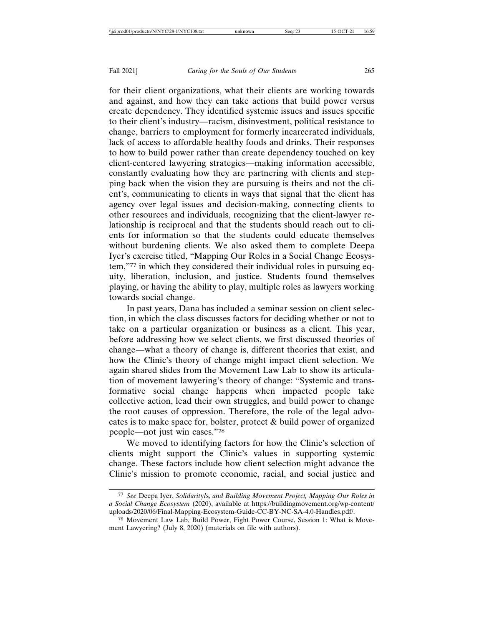for their client organizations, what their clients are working towards and against, and how they can take actions that build power versus create dependency. They identified systemic issues and issues specific to their client's industry—racism, disinvestment, political resistance to change, barriers to employment for formerly incarcerated individuals, lack of access to affordable healthy foods and drinks. Their responses to how to build power rather than create dependency touched on key client-centered lawyering strategies—making information accessible, constantly evaluating how they are partnering with clients and stepping back when the vision they are pursuing is theirs and not the client's, communicating to clients in ways that signal that the client has agency over legal issues and decision-making, connecting clients to other resources and individuals, recognizing that the client-lawyer relationship is reciprocal and that the students should reach out to clients for information so that the students could educate themselves without burdening clients. We also asked them to complete Deepa Iyer's exercise titled, "Mapping Our Roles in a Social Change Ecosystem,"77 in which they considered their individual roles in pursuing equity, liberation, inclusion, and justice. Students found themselves playing, or having the ability to play, multiple roles as lawyers working towards social change.

In past years, Dana has included a seminar session on client selection, in which the class discusses factors for deciding whether or not to take on a particular organization or business as a client. This year, before addressing how we select clients, we first discussed theories of change—what a theory of change is, different theories that exist, and how the Clinic's theory of change might impact client selection. We again shared slides from the Movement Law Lab to show its articulation of movement lawyering's theory of change: "Systemic and transformative social change happens when impacted people take collective action, lead their own struggles, and build power to change the root causes of oppression. Therefore, the role of the legal advocates is to make space for, bolster, protect & build power of organized people—not just win cases."78

We moved to identifying factors for how the Clinic's selection of clients might support the Clinic's values in supporting systemic change. These factors include how client selection might advance the Clinic's mission to promote economic, racial, and social justice and

<sup>77</sup> *See* Deepa Iyer, *Solidarit*y*l*s, *and Building Movement Project, Mapping Our Roles in a Social Change Ecosystem* (2020), available at https://buildingmovement.org/wp-content/ uploads/2020/06/Final-Mapping-Ecosystem-Guide-CC-BY-NC-SA-4.0-Handles.pdf/.

<sup>78</sup> Movement Law Lab, Build Power, Fight Power Course, Session 1: What is Movement Lawyering? (July 8, 2020) (materials on file with authors).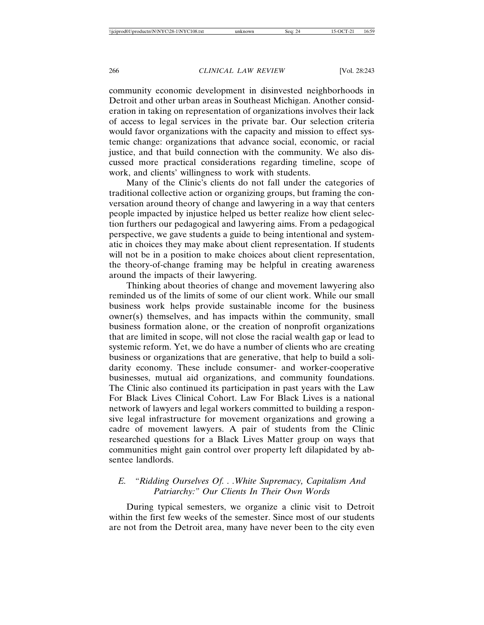community economic development in disinvested neighborhoods in Detroit and other urban areas in Southeast Michigan. Another consideration in taking on representation of organizations involves their lack of access to legal services in the private bar. Our selection criteria would favor organizations with the capacity and mission to effect systemic change: organizations that advance social, economic, or racial justice, and that build connection with the community. We also discussed more practical considerations regarding timeline, scope of work, and clients' willingness to work with students.

Many of the Clinic's clients do not fall under the categories of traditional collective action or organizing groups, but framing the conversation around theory of change and lawyering in a way that centers people impacted by injustice helped us better realize how client selection furthers our pedagogical and lawyering aims. From a pedagogical perspective, we gave students a guide to being intentional and systematic in choices they may make about client representation. If students will not be in a position to make choices about client representation, the theory-of-change framing may be helpful in creating awareness around the impacts of their lawyering.

Thinking about theories of change and movement lawyering also reminded us of the limits of some of our client work. While our small business work helps provide sustainable income for the business owner(s) themselves, and has impacts within the community, small business formation alone, or the creation of nonprofit organizations that are limited in scope, will not close the racial wealth gap or lead to systemic reform. Yet, we do have a number of clients who are creating business or organizations that are generative, that help to build a solidarity economy. These include consumer- and worker-cooperative businesses, mutual aid organizations, and community foundations. The Clinic also continued its participation in past years with the Law For Black Lives Clinical Cohort. Law For Black Lives is a national network of lawyers and legal workers committed to building a responsive legal infrastructure for movement organizations and growing a cadre of movement lawyers. A pair of students from the Clinic researched questions for a Black Lives Matter group on ways that communities might gain control over property left dilapidated by absentee landlords.

# *E. "Ridding Ourselves Of. . .White Supremacy, Capitalism And Patriarchy:" Our Clients In Their Own Words*

During typical semesters, we organize a clinic visit to Detroit within the first few weeks of the semester. Since most of our students are not from the Detroit area, many have never been to the city even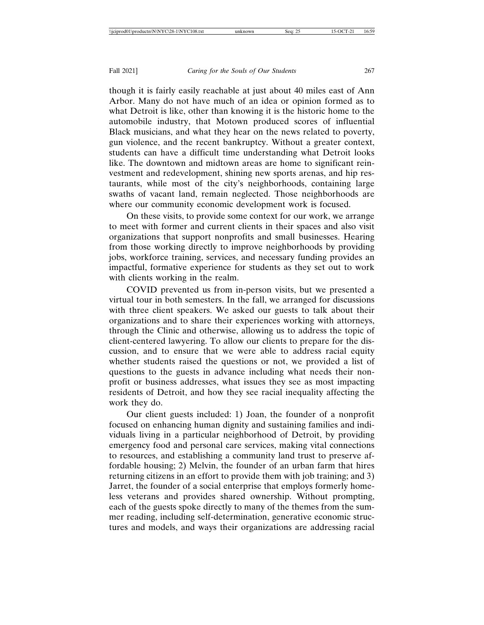though it is fairly easily reachable at just about 40 miles east of Ann Arbor. Many do not have much of an idea or opinion formed as to what Detroit is like, other than knowing it is the historic home to the automobile industry, that Motown produced scores of influential Black musicians, and what they hear on the news related to poverty, gun violence, and the recent bankruptcy. Without a greater context, students can have a difficult time understanding what Detroit looks like. The downtown and midtown areas are home to significant reinvestment and redevelopment, shining new sports arenas, and hip restaurants, while most of the city's neighborhoods, containing large swaths of vacant land, remain neglected. Those neighborhoods are where our community economic development work is focused.

On these visits, to provide some context for our work, we arrange to meet with former and current clients in their spaces and also visit organizations that support nonprofits and small businesses. Hearing from those working directly to improve neighborhoods by providing jobs, workforce training, services, and necessary funding provides an impactful, formative experience for students as they set out to work with clients working in the realm.

COVID prevented us from in-person visits, but we presented a virtual tour in both semesters. In the fall, we arranged for discussions with three client speakers. We asked our guests to talk about their organizations and to share their experiences working with attorneys, through the Clinic and otherwise, allowing us to address the topic of client-centered lawyering. To allow our clients to prepare for the discussion, and to ensure that we were able to address racial equity whether students raised the questions or not, we provided a list of questions to the guests in advance including what needs their nonprofit or business addresses, what issues they see as most impacting residents of Detroit, and how they see racial inequality affecting the work they do.

Our client guests included: 1) Joan, the founder of a nonprofit focused on enhancing human dignity and sustaining families and individuals living in a particular neighborhood of Detroit, by providing emergency food and personal care services, making vital connections to resources, and establishing a community land trust to preserve affordable housing; 2) Melvin, the founder of an urban farm that hires returning citizens in an effort to provide them with job training; and 3) Jarret, the founder of a social enterprise that employs formerly homeless veterans and provides shared ownership. Without prompting, each of the guests spoke directly to many of the themes from the summer reading, including self-determination, generative economic structures and models, and ways their organizations are addressing racial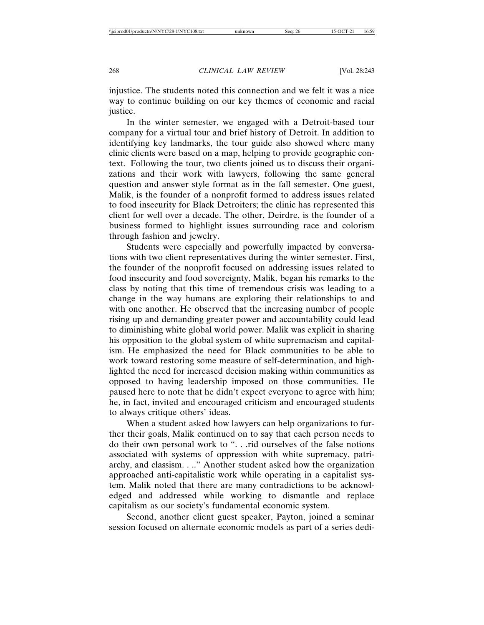injustice. The students noted this connection and we felt it was a nice way to continue building on our key themes of economic and racial justice.

In the winter semester, we engaged with a Detroit-based tour company for a virtual tour and brief history of Detroit. In addition to identifying key landmarks, the tour guide also showed where many clinic clients were based on a map, helping to provide geographic context. Following the tour, two clients joined us to discuss their organizations and their work with lawyers, following the same general question and answer style format as in the fall semester. One guest, Malik, is the founder of a nonprofit formed to address issues related to food insecurity for Black Detroiters; the clinic has represented this client for well over a decade. The other, Deirdre, is the founder of a business formed to highlight issues surrounding race and colorism through fashion and jewelry.

Students were especially and powerfully impacted by conversations with two client representatives during the winter semester. First, the founder of the nonprofit focused on addressing issues related to food insecurity and food sovereignty, Malik, began his remarks to the class by noting that this time of tremendous crisis was leading to a change in the way humans are exploring their relationships to and with one another. He observed that the increasing number of people rising up and demanding greater power and accountability could lead to diminishing white global world power. Malik was explicit in sharing his opposition to the global system of white supremacism and capitalism. He emphasized the need for Black communities to be able to work toward restoring some measure of self-determination, and highlighted the need for increased decision making within communities as opposed to having leadership imposed on those communities. He paused here to note that he didn't expect everyone to agree with him; he, in fact, invited and encouraged criticism and encouraged students to always critique others' ideas.

When a student asked how lawyers can help organizations to further their goals, Malik continued on to say that each person needs to do their own personal work to ". . .rid ourselves of the false notions associated with systems of oppression with white supremacy, patriarchy, and classism. . .." Another student asked how the organization approached anti-capitalistic work while operating in a capitalist system. Malik noted that there are many contradictions to be acknowledged and addressed while working to dismantle and replace capitalism as our society's fundamental economic system.

Second, another client guest speaker, Payton, joined a seminar session focused on alternate economic models as part of a series dedi-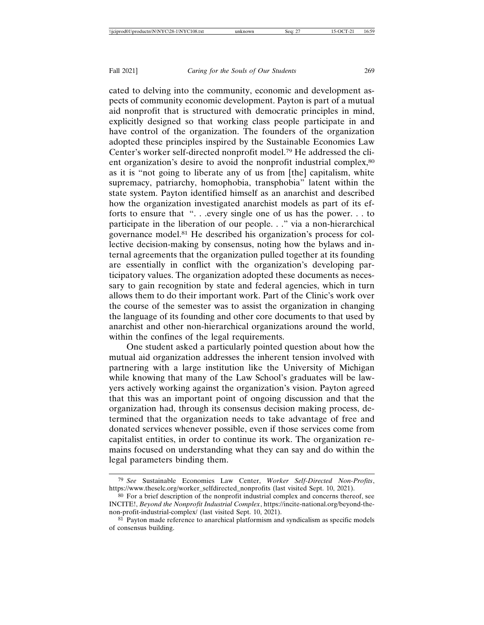cated to delving into the community, economic and development aspects of community economic development. Payton is part of a mutual aid nonprofit that is structured with democratic principles in mind, explicitly designed so that working class people participate in and have control of the organization. The founders of the organization adopted these principles inspired by the Sustainable Economies Law Center's worker self-directed nonprofit model.79 He addressed the client organization's desire to avoid the nonprofit industrial complex,<sup>80</sup> as it is "not going to liberate any of us from [the] capitalism, white supremacy, patriarchy, homophobia, transphobia" latent within the state system. Payton identified himself as an anarchist and described how the organization investigated anarchist models as part of its efforts to ensure that ". . .every single one of us has the power. . . to participate in the liberation of our people. . ." via a non-hierarchical governance model.81 He described his organization's process for collective decision-making by consensus, noting how the bylaws and internal agreements that the organization pulled together at its founding are essentially in conflict with the organization's developing participatory values. The organization adopted these documents as necessary to gain recognition by state and federal agencies, which in turn allows them to do their important work. Part of the Clinic's work over the course of the semester was to assist the organization in changing the language of its founding and other core documents to that used by anarchist and other non-hierarchical organizations around the world, within the confines of the legal requirements.

One student asked a particularly pointed question about how the mutual aid organization addresses the inherent tension involved with partnering with a large institution like the University of Michigan while knowing that many of the Law School's graduates will be lawyers actively working against the organization's vision. Payton agreed that this was an important point of ongoing discussion and that the organization had, through its consensus decision making process, determined that the organization needs to take advantage of free and donated services whenever possible, even if those services come from capitalist entities, in order to continue its work. The organization remains focused on understanding what they can say and do within the legal parameters binding them.

<sup>79</sup> *See* Sustainable Economies Law Center, *Worker Self-Directed Non-Profits*, https://www.theselc.org/worker\_selfdirected\_nonprofits (last visited Sept. 10, 2021).

<sup>80</sup> For a brief description of the nonprofit industrial complex and concerns thereof, see INCITE!, *Beyond the Nonprofit Industrial Complex*, https://incite-national.org/beyond-thenon-profit-industrial-complex/ (last visited Sept. 10, 2021).

<sup>81</sup> Payton made reference to anarchical platformism and syndicalism as specific models of consensus building.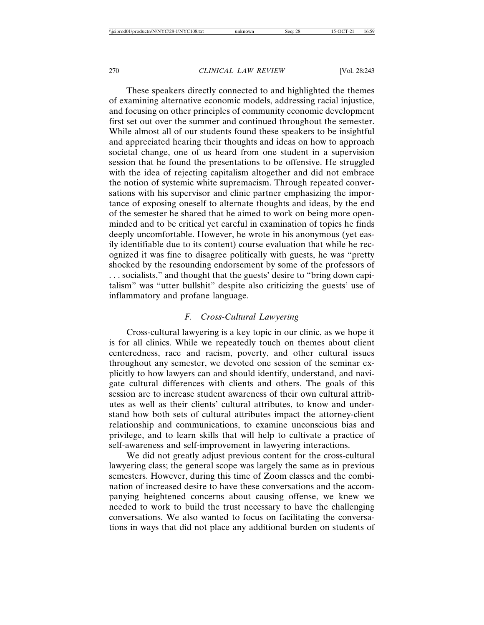These speakers directly connected to and highlighted the themes of examining alternative economic models, addressing racial injustice, and focusing on other principles of community economic development first set out over the summer and continued throughout the semester. While almost all of our students found these speakers to be insightful and appreciated hearing their thoughts and ideas on how to approach societal change, one of us heard from one student in a supervision session that he found the presentations to be offensive. He struggled with the idea of rejecting capitalism altogether and did not embrace the notion of systemic white supremacism. Through repeated conversations with his supervisor and clinic partner emphasizing the importance of exposing oneself to alternate thoughts and ideas, by the end of the semester he shared that he aimed to work on being more openminded and to be critical yet careful in examination of topics he finds deeply uncomfortable. However, he wrote in his anonymous (yet easily identifiable due to its content) course evaluation that while he recognized it was fine to disagree politically with guests, he was "pretty shocked by the resounding endorsement by some of the professors of . . . socialists," and thought that the guests' desire to "bring down capitalism" was "utter bullshit" despite also criticizing the guests' use of inflammatory and profane language.

# *F. Cross-Cultural Lawyering*

Cross-cultural lawyering is a key topic in our clinic, as we hope it is for all clinics. While we repeatedly touch on themes about client centeredness, race and racism, poverty, and other cultural issues throughout any semester, we devoted one session of the seminar explicitly to how lawyers can and should identify, understand, and navigate cultural differences with clients and others. The goals of this session are to increase student awareness of their own cultural attributes as well as their clients' cultural attributes, to know and understand how both sets of cultural attributes impact the attorney-client relationship and communications, to examine unconscious bias and privilege, and to learn skills that will help to cultivate a practice of self-awareness and self-improvement in lawyering interactions.

We did not greatly adjust previous content for the cross-cultural lawyering class; the general scope was largely the same as in previous semesters. However, during this time of Zoom classes and the combination of increased desire to have these conversations and the accompanying heightened concerns about causing offense, we knew we needed to work to build the trust necessary to have the challenging conversations. We also wanted to focus on facilitating the conversations in ways that did not place any additional burden on students of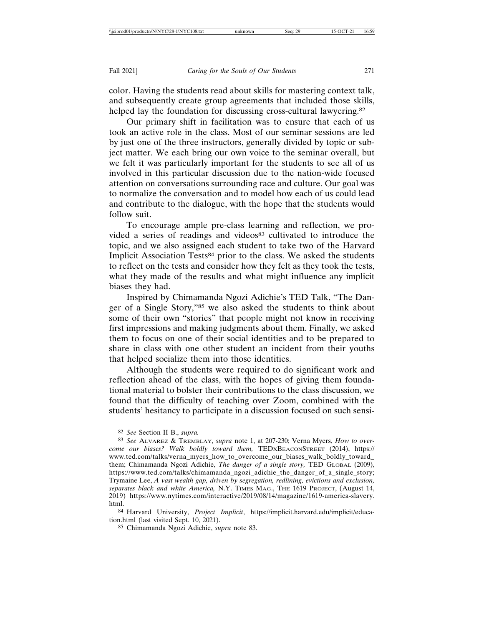color. Having the students read about skills for mastering context talk, and subsequently create group agreements that included those skills, helped lay the foundation for discussing cross-cultural lawyering.<sup>82</sup>

Our primary shift in facilitation was to ensure that each of us took an active role in the class. Most of our seminar sessions are led by just one of the three instructors, generally divided by topic or subject matter. We each bring our own voice to the seminar overall, but we felt it was particularly important for the students to see all of us involved in this particular discussion due to the nation-wide focused attention on conversations surrounding race and culture. Our goal was to normalize the conversation and to model how each of us could lead and contribute to the dialogue, with the hope that the students would follow suit.

To encourage ample pre-class learning and reflection, we provided a series of readings and videos<sup>83</sup> cultivated to introduce the topic, and we also assigned each student to take two of the Harvard Implicit Association Tests<sup>84</sup> prior to the class. We asked the students to reflect on the tests and consider how they felt as they took the tests, what they made of the results and what might influence any implicit biases they had.

Inspired by Chimamanda Ngozi Adichie's TED Talk, "The Danger of a Single Story,"85 we also asked the students to think about some of their own "stories" that people might not know in receiving first impressions and making judgments about them. Finally, we asked them to focus on one of their social identities and to be prepared to share in class with one other student an incident from their youths that helped socialize them into those identities.

Although the students were required to do significant work and reflection ahead of the class, with the hopes of giving them foundational material to bolster their contributions to the class discussion, we found that the difficulty of teaching over Zoom, combined with the students' hesitancy to participate in a discussion focused on such sensi-

<sup>82</sup> *See* Section II B., *supra.*

<sup>83</sup> *See* ALVAREZ & TREMBLAY, *supra* note 1, at 207-230; Verna Myers, *How to overcome our biases? Walk boldly toward them,* TEDXBEACONSTREET (2014), https:// www.ted.com/talks/verna\_myers\_how\_to\_overcome\_our\_biases\_walk\_boldly\_toward\_ them; Chimamanda Ngozi Adichie, *The danger of a single story,* TED GLOBAL (2009), https://www.ted.com/talks/chimamanda\_ngozi\_adichie\_the\_danger\_of\_a\_single\_story; Trymaine Lee, *A vast wealth gap, driven by segregation, redlining, evictions and exclusion, separates black and white America,* N.Y. TIMES MAG., THE 1619 PROJECT, (August 14, 2019) https://www.nytimes.com/interactive/2019/08/14/magazine/1619-america-slavery. html.

<sup>84</sup> Harvard University, *Project Implicit*, https://implicit.harvard.edu/implicit/education.html (last visited Sept. 10, 2021).

<sup>85</sup> Chimamanda Ngozi Adichie, *supra* note 83.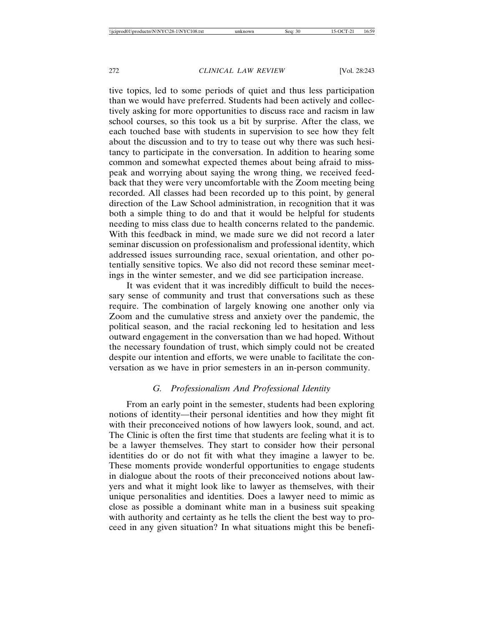tive topics, led to some periods of quiet and thus less participation than we would have preferred. Students had been actively and collectively asking for more opportunities to discuss race and racism in law school courses, so this took us a bit by surprise. After the class, we each touched base with students in supervision to see how they felt about the discussion and to try to tease out why there was such hesitancy to participate in the conversation. In addition to hearing some common and somewhat expected themes about being afraid to misspeak and worrying about saying the wrong thing, we received feedback that they were very uncomfortable with the Zoom meeting being recorded. All classes had been recorded up to this point, by general direction of the Law School administration, in recognition that it was both a simple thing to do and that it would be helpful for students needing to miss class due to health concerns related to the pandemic. With this feedback in mind, we made sure we did not record a later seminar discussion on professionalism and professional identity, which addressed issues surrounding race, sexual orientation, and other potentially sensitive topics. We also did not record these seminar meetings in the winter semester, and we did see participation increase.

It was evident that it was incredibly difficult to build the necessary sense of community and trust that conversations such as these require. The combination of largely knowing one another only via Zoom and the cumulative stress and anxiety over the pandemic, the political season, and the racial reckoning led to hesitation and less outward engagement in the conversation than we had hoped. Without the necessary foundation of trust, which simply could not be created despite our intention and efforts, we were unable to facilitate the conversation as we have in prior semesters in an in-person community.

# *G. Professionalism And Professional Identity*

From an early point in the semester, students had been exploring notions of identity—their personal identities and how they might fit with their preconceived notions of how lawyers look, sound, and act. The Clinic is often the first time that students are feeling what it is to be a lawyer themselves. They start to consider how their personal identities do or do not fit with what they imagine a lawyer to be. These moments provide wonderful opportunities to engage students in dialogue about the roots of their preconceived notions about lawyers and what it might look like to lawyer as themselves, with their unique personalities and identities. Does a lawyer need to mimic as close as possible a dominant white man in a business suit speaking with authority and certainty as he tells the client the best way to proceed in any given situation? In what situations might this be benefi-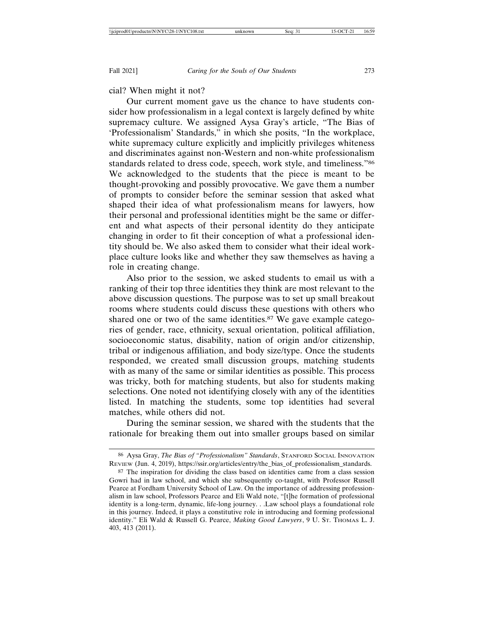# cial? When might it not?

Our current moment gave us the chance to have students consider how professionalism in a legal context is largely defined by white supremacy culture. We assigned Aysa Gray's article, "The Bias of 'Professionalism' Standards," in which she posits, "In the workplace, white supremacy culture explicitly and implicitly privileges whiteness and discriminates against non-Western and non-white professionalism standards related to dress code, speech, work style, and timeliness."86 We acknowledged to the students that the piece is meant to be thought-provoking and possibly provocative. We gave them a number of prompts to consider before the seminar session that asked what shaped their idea of what professionalism means for lawyers, how their personal and professional identities might be the same or different and what aspects of their personal identity do they anticipate changing in order to fit their conception of what a professional identity should be. We also asked them to consider what their ideal workplace culture looks like and whether they saw themselves as having a role in creating change.

Also prior to the session, we asked students to email us with a ranking of their top three identities they think are most relevant to the above discussion questions. The purpose was to set up small breakout rooms where students could discuss these questions with others who shared one or two of the same identities.<sup>87</sup> We gave example categories of gender, race, ethnicity, sexual orientation, political affiliation, socioeconomic status, disability, nation of origin and/or citizenship, tribal or indigenous affiliation, and body size/type. Once the students responded, we created small discussion groups, matching students with as many of the same or similar identities as possible. This process was tricky, both for matching students, but also for students making selections. One noted not identifying closely with any of the identities listed. In matching the students, some top identities had several matches, while others did not.

During the seminar session, we shared with the students that the rationale for breaking them out into smaller groups based on similar

<sup>86</sup> Aysa Gray, *The Bias of "Professionalism" Standards*, STANFORD SOCIAL INNOVATION REVIEW (Jun. 4, 2019), https://ssir.org/articles/entry/the\_bias\_of\_professionalism\_standards.

<sup>&</sup>lt;sup>87</sup> The inspiration for dividing the class based on identities came from a class session Gowri had in law school, and which she subsequently co-taught, with Professor Russell Pearce at Fordham University School of Law. On the importance of addressing professionalism in law school, Professors Pearce and Eli Wald note, "[t]he formation of professional identity is a long-term, dynamic, life-long journey. . .Law school plays a foundational role in this journey. Indeed, it plays a constitutive role in introducing and forming professional identity." Eli Wald & Russell G. Pearce, *Making Good Lawyers*, 9 U. St. THOMAS L. J. 403, 413 (2011).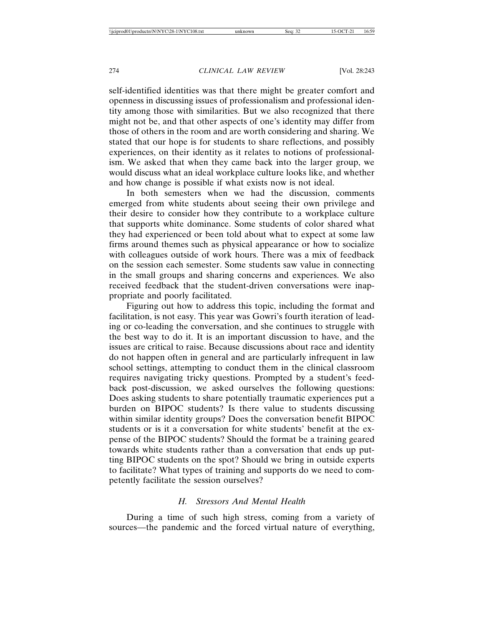self-identified identities was that there might be greater comfort and openness in discussing issues of professionalism and professional identity among those with similarities. But we also recognized that there might not be, and that other aspects of one's identity may differ from those of others in the room and are worth considering and sharing. We stated that our hope is for students to share reflections, and possibly experiences, on their identity as it relates to notions of professionalism. We asked that when they came back into the larger group, we would discuss what an ideal workplace culture looks like, and whether and how change is possible if what exists now is not ideal.

In both semesters when we had the discussion, comments emerged from white students about seeing their own privilege and their desire to consider how they contribute to a workplace culture that supports white dominance. Some students of color shared what they had experienced or been told about what to expect at some law firms around themes such as physical appearance or how to socialize with colleagues outside of work hours. There was a mix of feedback on the session each semester. Some students saw value in connecting in the small groups and sharing concerns and experiences. We also received feedback that the student-driven conversations were inappropriate and poorly facilitated.

Figuring out how to address this topic, including the format and facilitation, is not easy. This year was Gowri's fourth iteration of leading or co-leading the conversation, and she continues to struggle with the best way to do it. It is an important discussion to have, and the issues are critical to raise. Because discussions about race and identity do not happen often in general and are particularly infrequent in law school settings, attempting to conduct them in the clinical classroom requires navigating tricky questions. Prompted by a student's feedback post-discussion, we asked ourselves the following questions: Does asking students to share potentially traumatic experiences put a burden on BIPOC students? Is there value to students discussing within similar identity groups? Does the conversation benefit BIPOC students or is it a conversation for white students' benefit at the expense of the BIPOC students? Should the format be a training geared towards white students rather than a conversation that ends up putting BIPOC students on the spot? Should we bring in outside experts to facilitate? What types of training and supports do we need to competently facilitate the session ourselves?

#### *H. Stressors And Mental Health*

During a time of such high stress, coming from a variety of sources—the pandemic and the forced virtual nature of everything,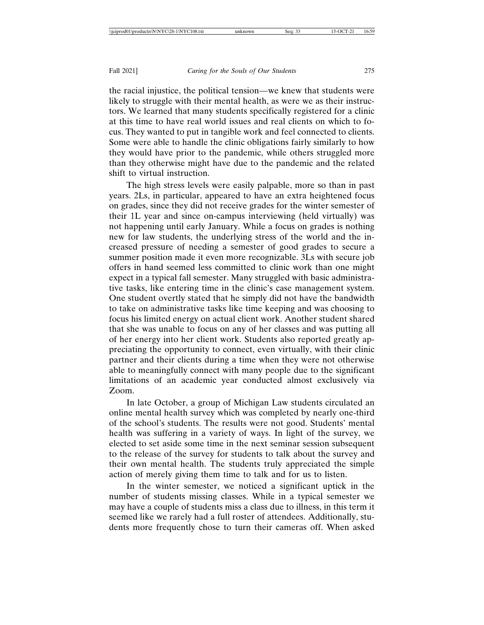the racial injustice, the political tension—we knew that students were likely to struggle with their mental health, as were we as their instructors. We learned that many students specifically registered for a clinic at this time to have real world issues and real clients on which to focus. They wanted to put in tangible work and feel connected to clients. Some were able to handle the clinic obligations fairly similarly to how they would have prior to the pandemic, while others struggled more than they otherwise might have due to the pandemic and the related shift to virtual instruction.

The high stress levels were easily palpable, more so than in past years. 2Ls, in particular, appeared to have an extra heightened focus on grades, since they did not receive grades for the winter semester of their 1L year and since on-campus interviewing (held virtually) was not happening until early January. While a focus on grades is nothing new for law students, the underlying stress of the world and the increased pressure of needing a semester of good grades to secure a summer position made it even more recognizable. 3Ls with secure job offers in hand seemed less committed to clinic work than one might expect in a typical fall semester. Many struggled with basic administrative tasks, like entering time in the clinic's case management system. One student overtly stated that he simply did not have the bandwidth to take on administrative tasks like time keeping and was choosing to focus his limited energy on actual client work. Another student shared that she was unable to focus on any of her classes and was putting all of her energy into her client work. Students also reported greatly appreciating the opportunity to connect, even virtually, with their clinic partner and their clients during a time when they were not otherwise able to meaningfully connect with many people due to the significant limitations of an academic year conducted almost exclusively via Zoom.

In late October, a group of Michigan Law students circulated an online mental health survey which was completed by nearly one-third of the school's students. The results were not good. Students' mental health was suffering in a variety of ways. In light of the survey, we elected to set aside some time in the next seminar session subsequent to the release of the survey for students to talk about the survey and their own mental health. The students truly appreciated the simple action of merely giving them time to talk and for us to listen.

In the winter semester, we noticed a significant uptick in the number of students missing classes. While in a typical semester we may have a couple of students miss a class due to illness, in this term it seemed like we rarely had a full roster of attendees. Additionally, students more frequently chose to turn their cameras off. When asked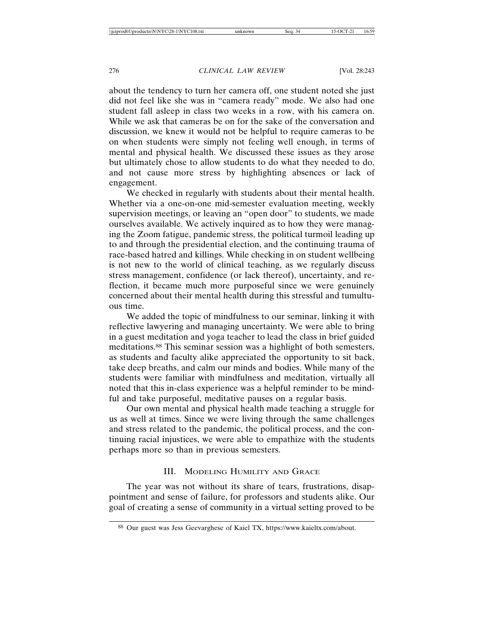about the tendency to turn her camera off, one student noted she just did not feel like she was in "camera ready" mode. We also had one student fall asleep in class two weeks in a row, with his camera on. While we ask that cameras be on for the sake of the conversation and discussion, we knew it would not be helpful to require cameras to be on when students were simply not feeling well enough, in terms of mental and physical health. We discussed these issues as they arose but ultimately chose to allow students to do what they needed to do, and not cause more stress by highlighting absences or lack of engagement.

We checked in regularly with students about their mental health. Whether via a one-on-one mid-semester evaluation meeting, weekly supervision meetings, or leaving an "open door" to students, we made ourselves available. We actively inquired as to how they were managing the Zoom fatigue, pandemic stress, the political turmoil leading up to and through the presidential election, and the continuing trauma of race-based hatred and killings. While checking in on student wellbeing is not new to the world of clinical teaching, as we regularly discuss stress management, confidence (or lack thereof), uncertainty, and reflection, it became much more purposeful since we were genuinely concerned about their mental health during this stressful and tumultuous time.

We added the topic of mindfulness to our seminar, linking it with reflective lawyering and managing uncertainty. We were able to bring in a guest meditation and yoga teacher to lead the class in brief guided meditations.88 This seminar session was a highlight of both semesters, as students and faculty alike appreciated the opportunity to sit back, take deep breaths, and calm our minds and bodies. While many of the students were familiar with mindfulness and meditation, virtually all noted that this in-class experience was a helpful reminder to be mindful and take purposeful, meditative pauses on a regular basis.

Our own mental and physical health made teaching a struggle for us as well at times. Since we were living through the same challenges and stress related to the pandemic, the political process, and the continuing racial injustices, we were able to empathize with the students perhaps more so than in previous semesters.

# III. MODELING HUMILITY AND GRACE

The year was not without its share of tears, frustrations, disappointment and sense of failure, for professors and students alike. Our goal of creating a sense of community in a virtual setting proved to be

<sup>88</sup> Our guest was Jess Geevarghese of Kaiel TX, https://www.kaieltx.com/about.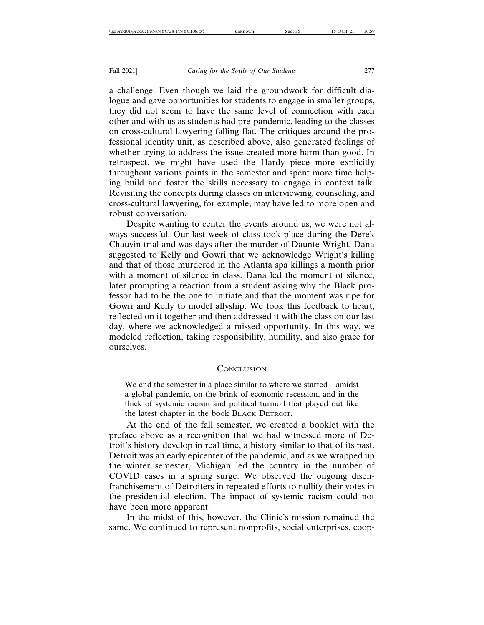robust conversation.

#### Fall 2021] *Caring for the Souls of Our Students* 277

a challenge. Even though we laid the groundwork for difficult dialogue and gave opportunities for students to engage in smaller groups, they did not seem to have the same level of connection with each other and with us as students had pre-pandemic, leading to the classes on cross-cultural lawyering falling flat. The critiques around the professional identity unit, as described above, also generated feelings of whether trying to address the issue created more harm than good. In retrospect, we might have used the Hardy piece more explicitly throughout various points in the semester and spent more time helping build and foster the skills necessary to engage in context talk. Revisiting the concepts during classes on interviewing, counseling, and cross-cultural lawyering, for example, may have led to more open and

Despite wanting to center the events around us, we were not always successful. Our last week of class took place during the Derek Chauvin trial and was days after the murder of Daunte Wright. Dana suggested to Kelly and Gowri that we acknowledge Wright's killing and that of those murdered in the Atlanta spa killings a month prior with a moment of silence in class. Dana led the moment of silence, later prompting a reaction from a student asking why the Black professor had to be the one to initiate and that the moment was ripe for Gowri and Kelly to model allyship. We took this feedback to heart, reflected on it together and then addressed it with the class on our last day, where we acknowledged a missed opportunity. In this way, we modeled reflection, taking responsibility, humility, and also grace for ourselves.

# **CONCLUSION**

We end the semester in a place similar to where we started—amidst a global pandemic, on the brink of economic recession, and in the thick of systemic racism and political turmoil that played out like the latest chapter in the book BLACK DETROIT.

At the end of the fall semester, we created a booklet with the preface above as a recognition that we had witnessed more of Detroit's history develop in real time, a history similar to that of its past. Detroit was an early epicenter of the pandemic, and as we wrapped up the winter semester, Michigan led the country in the number of COVID cases in a spring surge. We observed the ongoing disenfranchisement of Detroiters in repeated efforts to nullify their votes in the presidential election. The impact of systemic racism could not have been more apparent.

In the midst of this, however, the Clinic's mission remained the same. We continued to represent nonprofits, social enterprises, coop-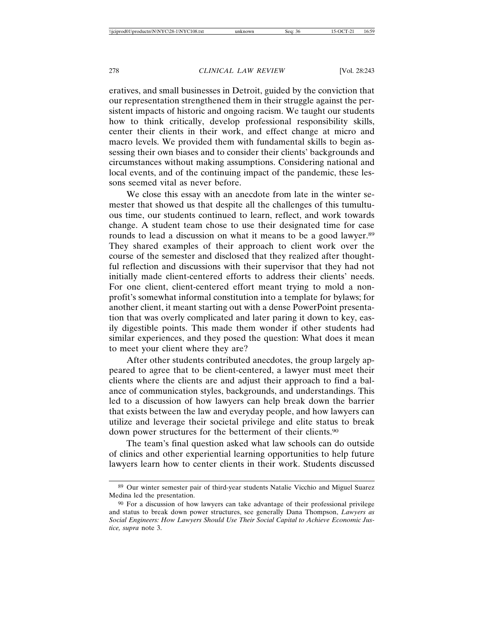eratives, and small businesses in Detroit, guided by the conviction that our representation strengthened them in their struggle against the persistent impacts of historic and ongoing racism. We taught our students how to think critically, develop professional responsibility skills, center their clients in their work, and effect change at micro and macro levels. We provided them with fundamental skills to begin assessing their own biases and to consider their clients' backgrounds and circumstances without making assumptions. Considering national and local events, and of the continuing impact of the pandemic, these lessons seemed vital as never before.

We close this essay with an anecdote from late in the winter semester that showed us that despite all the challenges of this tumultuous time, our students continued to learn, reflect, and work towards change. A student team chose to use their designated time for case rounds to lead a discussion on what it means to be a good lawyer.<sup>89</sup> They shared examples of their approach to client work over the course of the semester and disclosed that they realized after thoughtful reflection and discussions with their supervisor that they had not initially made client-centered efforts to address their clients' needs. For one client, client-centered effort meant trying to mold a nonprofit's somewhat informal constitution into a template for bylaws; for another client, it meant starting out with a dense PowerPoint presentation that was overly complicated and later paring it down to key, easily digestible points. This made them wonder if other students had similar experiences, and they posed the question: What does it mean to meet your client where they are?

After other students contributed anecdotes, the group largely appeared to agree that to be client-centered, a lawyer must meet their clients where the clients are and adjust their approach to find a balance of communication styles, backgrounds, and understandings. This led to a discussion of how lawyers can help break down the barrier that exists between the law and everyday people, and how lawyers can utilize and leverage their societal privilege and elite status to break down power structures for the betterment of their clients.<sup>90</sup>

The team's final question asked what law schools can do outside of clinics and other experiential learning opportunities to help future lawyers learn how to center clients in their work. Students discussed

<sup>89</sup> Our winter semester pair of third-year students Natalie Vicchio and Miguel Suarez Medina led the presentation.

<sup>90</sup> For a discussion of how lawyers can take advantage of their professional privilege and status to break down power structures, see generally Dana Thompson, *Lawyers as Social Engineers: How Lawyers Should Use Their Social Capital to Achieve Economic Justice, supra* note 3.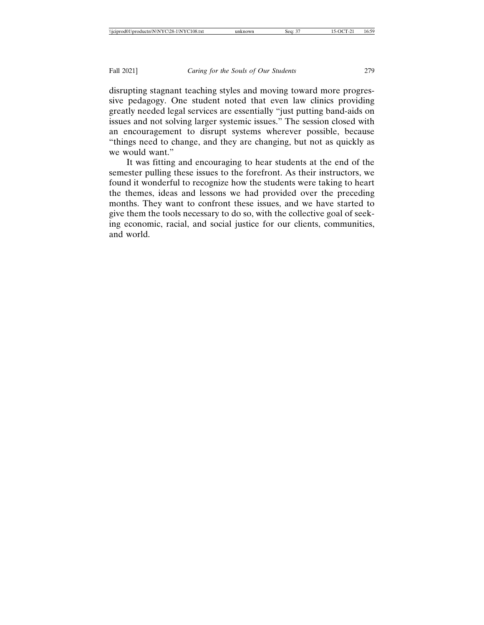disrupting stagnant teaching styles and moving toward more progressive pedagogy. One student noted that even law clinics providing greatly needed legal services are essentially "just putting band-aids on issues and not solving larger systemic issues." The session closed with an encouragement to disrupt systems wherever possible, because "things need to change, and they are changing, but not as quickly as we would want."

It was fitting and encouraging to hear students at the end of the semester pulling these issues to the forefront. As their instructors, we found it wonderful to recognize how the students were taking to heart the themes, ideas and lessons we had provided over the preceding months. They want to confront these issues, and we have started to give them the tools necessary to do so, with the collective goal of seeking economic, racial, and social justice for our clients, communities, and world.